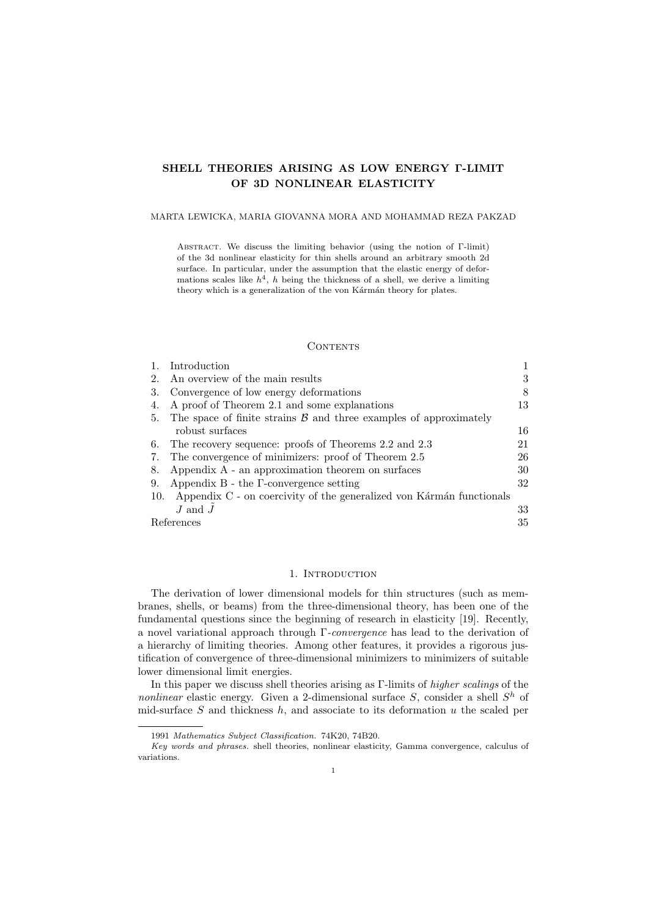# SHELL THEORIES ARISING AS LOW ENERGY Γ-LIMIT OF 3D NONLINEAR ELASTICITY

### MARTA LEWICKA, MARIA GIOVANNA MORA AND MOHAMMAD REZA PAKZAD

Abstract. We discuss the limiting behavior (using the notion of Γ-limit) of the 3d nonlinear elasticity for thin shells around an arbitrary smooth 2d surface. In particular, under the assumption that the elastic energy of deformations scales like  $h^4$ , h being the thickness of a shell, we derive a limiting theory which is a generalization of the von Kármán theory for plates.

### **CONTENTS**

|     | Introduction                                                            |    |
|-----|-------------------------------------------------------------------------|----|
| 2.  | An overview of the main results                                         | 3  |
| 3.  | Convergence of low energy deformations                                  | 8  |
|     | A proof of Theorem 2.1 and some explanations                            | 13 |
| 5.  | The space of finite strains $\beta$ and three examples of approximately |    |
|     | robust surfaces                                                         | 16 |
| 6.  | The recovery sequence: proofs of Theorems 2.2 and 2.3                   | 21 |
| 7.  | The convergence of minimizers: proof of Theorem 2.5                     | 26 |
| 8.  | Appendix A - an approximation theorem on surfaces                       | 30 |
| 9.  | Appendix $B$ - the $\Gamma$ -convergence setting                        | 32 |
| 10. | Appendix C - on coercivity of the generalized von Kármán functionals    |    |
|     | $J$ and $J$                                                             | 33 |
|     | References                                                              |    |

## 1. INTRODUCTION

The derivation of lower dimensional models for thin structures (such as membranes, shells, or beams) from the three-dimensional theory, has been one of the fundamental questions since the beginning of research in elasticity [19]. Recently, a novel variational approach through Γ-convergence has lead to the derivation of a hierarchy of limiting theories. Among other features, it provides a rigorous justification of convergence of three-dimensional minimizers to minimizers of suitable lower dimensional limit energies.

In this paper we discuss shell theories arising as Γ-limits of higher scalings of the nonlinear elastic energy. Given a 2-dimensional surface  $S$ , consider a shell  $S<sup>h</sup>$  of mid-surface  $S$  and thickness  $h$ , and associate to its deformation  $u$  the scaled per

<sup>1991</sup> Mathematics Subject Classification. 74K20, 74B20.

Key words and phrases. shell theories, nonlinear elasticity, Gamma convergence, calculus of variations.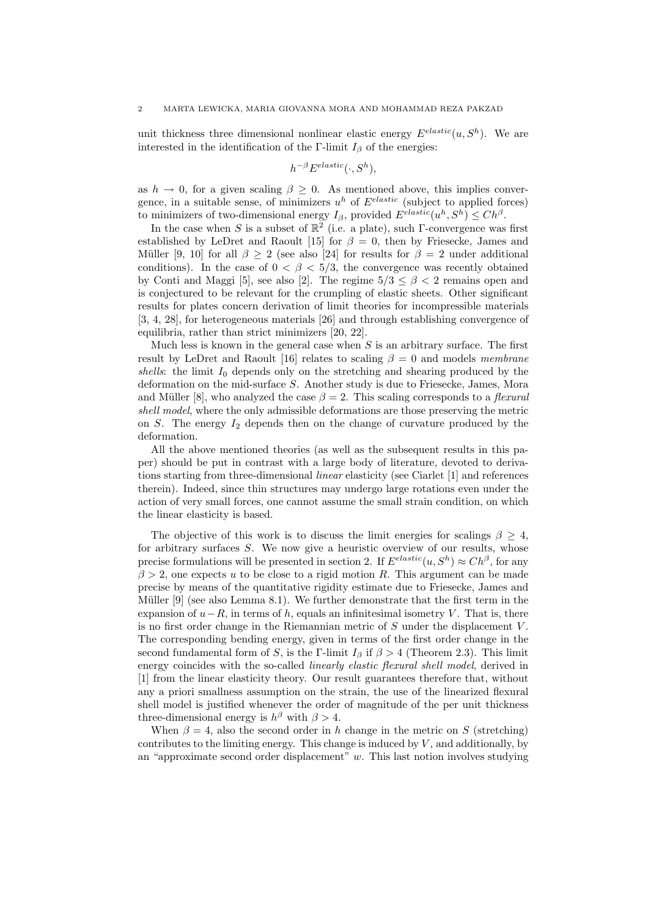unit thickness three dimensional nonlinear elastic energy  $E^{elastic}(u, S^h)$ . We are interested in the identification of the Γ-limit  $I_\beta$  of the energies:

$$
h^{-\beta} E^{elastic}(\cdot, S^h),
$$

as  $h \to 0$ , for a given scaling  $\beta \geq 0$ . As mentioned above, this implies convergence, in a suitable sense, of minimizers  $u^h$  of  $E^{elastic}$  (subject to applied forces) to minimizers of two-dimensional energy  $I_\beta$ , provided  $E^{elastic}(u^h, S^h) \leq Ch^\beta$ .

In the case when S is a subset of  $\mathbb{R}^2$  (i.e. a plate), such Γ-convergence was first established by LeDret and Raoult [15] for  $\beta = 0$ , then by Friesecke, James and Müller [9, 10] for all  $\beta \geq 2$  (see also [24] for results for  $\beta = 2$  under additional conditions). In the case of  $0 < \beta < 5/3$ , the convergence was recently obtained by Conti and Maggi [5], see also [2]. The regime  $5/3 \leq \beta < 2$  remains open and is conjectured to be relevant for the crumpling of elastic sheets. Other significant results for plates concern derivation of limit theories for incompressible materials [3, 4, 28], for heterogeneous materials [26] and through establishing convergence of equilibria, rather than strict minimizers [20, 22].

Much less is known in the general case when  $S$  is an arbitrary surface. The first result by LeDret and Raoult [16] relates to scaling  $\beta = 0$  and models membrane shells: the limit  $I_0$  depends only on the stretching and shearing produced by the deformation on the mid-surface S. Another study is due to Friesecke, James, Mora and Müller [8], who analyzed the case  $\beta = 2$ . This scaling corresponds to a *flexural* shell model, where the only admissible deformations are those preserving the metric on S. The energy  $I_2$  depends then on the change of curvature produced by the deformation.

All the above mentioned theories (as well as the subsequent results in this paper) should be put in contrast with a large body of literature, devoted to derivations starting from three-dimensional linear elasticity (see Ciarlet [1] and references therein). Indeed, since thin structures may undergo large rotations even under the action of very small forces, one cannot assume the small strain condition, on which the linear elasticity is based.

The objective of this work is to discuss the limit energies for scalings  $\beta \geq 4$ , for arbitrary surfaces S. We now give a heuristic overview of our results, whose precise formulations will be presented in section 2. If  $E^{elastic}(u, S^h) \approx Ch^{\beta}$ , for any  $\beta > 2$ , one expects u to be close to a rigid motion R. This argument can be made precise by means of the quantitative rigidity estimate due to Friesecke, James and Müller  $[9]$  (see also Lemma 8.1). We further demonstrate that the first term in the expansion of  $u-R$ , in terms of h, equals an infinitesimal isometry V. That is, there is no first order change in the Riemannian metric of  $S$  under the displacement  $V$ . The corresponding bending energy, given in terms of the first order change in the second fundamental form of S, is the Γ-limit  $I_\beta$  if  $\beta > 4$  (Theorem 2.3). This limit energy coincides with the so-called *linearly elastic flexural shell model*, derived in [1] from the linear elasticity theory. Our result guarantees therefore that, without any a priori smallness assumption on the strain, the use of the linearized flexural shell model is justified whenever the order of magnitude of the per unit thickness three-dimensional energy is  $h^{\beta}$  with  $\beta > 4$ .

When  $\beta = 4$ , also the second order in h change in the metric on S (stretching) contributes to the limiting energy. This change is induced by  $V$ , and additionally, by an "approximate second order displacement"  $w$ . This last notion involves studying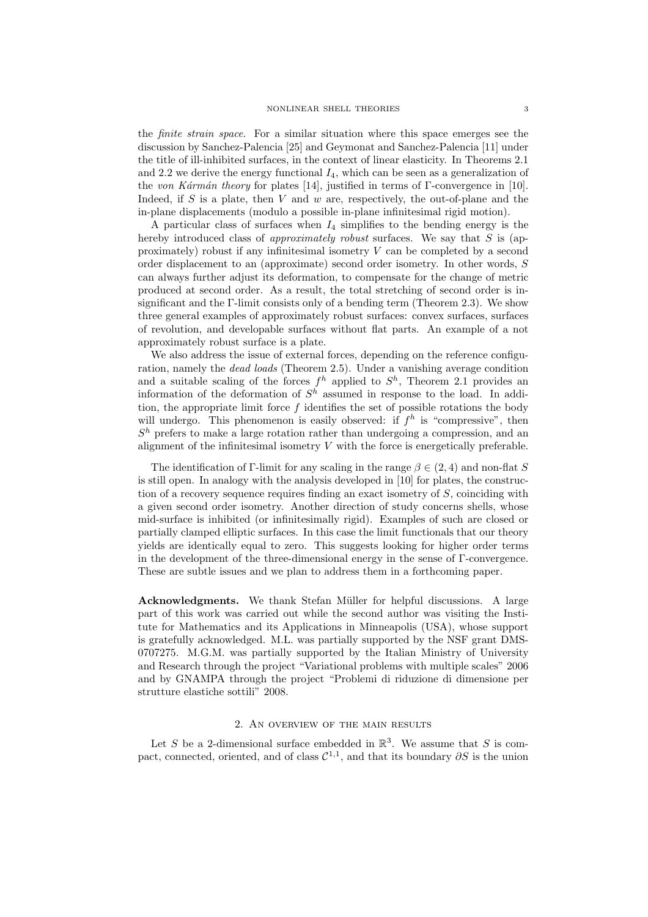the finite strain space. For a similar situation where this space emerges see the discussion by Sanchez-Palencia [25] and Geymonat and Sanchez-Palencia [11] under the title of ill-inhibited surfaces, in the context of linear elasticity. In Theorems 2.1 and 2.2 we derive the energy functional  $I_4$ , which can be seen as a generalization of the von Kármán theory for plates [14], justified in terms of Γ-convergence in [10]. Indeed, if S is a plate, then V and w are, respectively, the out-of-plane and the in-plane displacements (modulo a possible in-plane infinitesimal rigid motion).

A particular class of surfaces when  $I_4$  simplifies to the bending energy is the hereby introduced class of *approximately robust* surfaces. We say that  $S$  is (approximately) robust if any infinitesimal isometry  $V$  can be completed by a second order displacement to an (approximate) second order isometry. In other words, S can always further adjust its deformation, to compensate for the change of metric produced at second order. As a result, the total stretching of second order is insignificant and the Γ-limit consists only of a bending term (Theorem 2.3). We show three general examples of approximately robust surfaces: convex surfaces, surfaces of revolution, and developable surfaces without flat parts. An example of a not approximately robust surface is a plate.

We also address the issue of external forces, depending on the reference configuration, namely the dead loads (Theorem 2.5). Under a vanishing average condition and a suitable scaling of the forces  $f^h$  applied to  $S^h$ , Theorem 2.1 provides an information of the deformation of  $S<sup>h</sup>$  assumed in response to the load. In addition, the appropriate limit force  $f$  identifies the set of possible rotations the body will undergo. This phenomenon is easily observed: if  $f<sup>h</sup>$  is "compressive", then  $S<sup>h</sup>$  prefers to make a large rotation rather than undergoing a compression, and an alignment of the infinitesimal isometry  $V$  with the force is energetically preferable.

The identification of Γ-limit for any scaling in the range  $\beta \in (2, 4)$  and non-flat S is still open. In analogy with the analysis developed in [10] for plates, the construction of a recovery sequence requires finding an exact isometry of S, coinciding with a given second order isometry. Another direction of study concerns shells, whose mid-surface is inhibited (or infinitesimally rigid). Examples of such are closed or partially clamped elliptic surfaces. In this case the limit functionals that our theory yields are identically equal to zero. This suggests looking for higher order terms in the development of the three-dimensional energy in the sense of Γ-convergence. These are subtle issues and we plan to address them in a forthcoming paper.

Acknowledgments. We thank Stefan Müller for helpful discussions. A large part of this work was carried out while the second author was visiting the Institute for Mathematics and its Applications in Minneapolis (USA), whose support is gratefully acknowledged. M.L. was partially supported by the NSF grant DMS-0707275. M.G.M. was partially supported by the Italian Ministry of University and Research through the project "Variational problems with multiple scales" 2006 and by GNAMPA through the project "Problemi di riduzione di dimensione per strutture elastiche sottili" 2008.

## 2. An overview of the main results

Let S be a 2-dimensional surface embedded in  $\mathbb{R}^3$ . We assume that S is compact, connected, oriented, and of class  $\mathcal{C}^{1,1}$ , and that its boundary  $\partial S$  is the union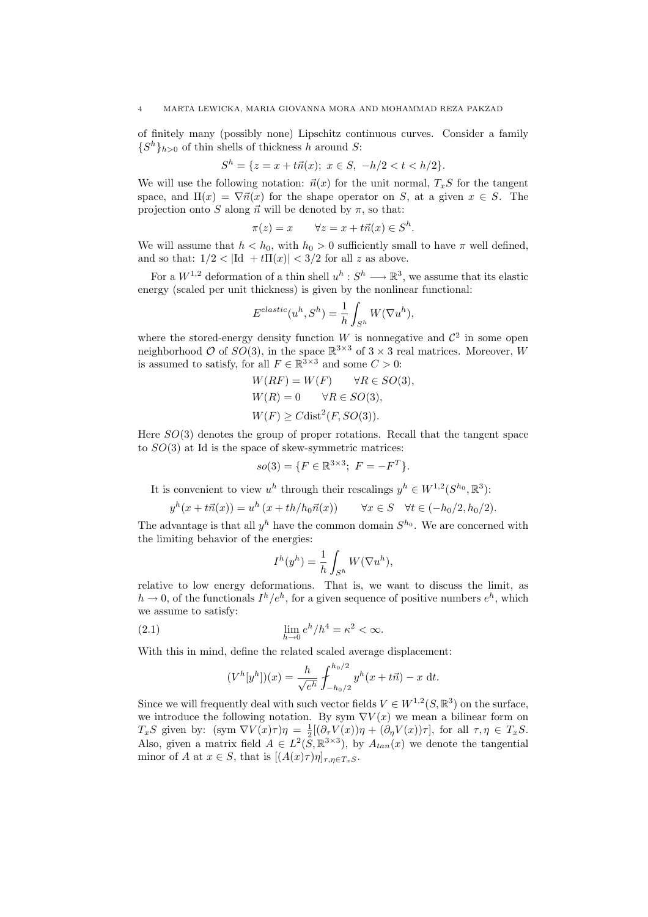of finitely many (possibly none) Lipschitz continuous curves. Consider a family  $\{S^h\}_{h>0}$  of thin shells of thickness h around S:

$$
S^h = \{ z = x + t\vec{n}(x); \ x \in S, \ -h/2 < t < h/2 \}.
$$

We will use the following notation:  $\vec{n}(x)$  for the unit normal,  $T_xS$  for the tangent space, and  $\Pi(x) = \nabla \vec{n}(x)$  for the shape operator on S, at a given  $x \in S$ . The projection onto S along  $\vec{n}$  will be denoted by  $\pi$ , so that:

$$
\pi(z) = x \qquad \forall z = x + t\vec{n}(x) \in S^h
$$

.

We will assume that  $h < h_0$ , with  $h_0 > 0$  sufficiently small to have  $\pi$  well defined, and so that:  $1/2 < |Id + t\Pi(x)| < 3/2$  for all z as above.

For a  $W^{1,2}$  deformation of a thin shell  $u^h: S^h \longrightarrow \mathbb{R}^3$ , we assume that its elastic energy (scaled per unit thickness) is given by the nonlinear functional:

$$
E^{elastic}(u^h, S^h) = \frac{1}{h} \int_{S^h} W(\nabla u^h),
$$

where the stored-energy density function W is nonnegative and  $\mathcal{C}^2$  in some open neighborhood  $\mathcal O$  of  $SO(3)$ , in the space  $\mathbb{R}^{3\times 3}$  of  $3\times 3$  real matrices. Moreover, W is assumed to satisfy, for all  $F \in \mathbb{R}^{3 \times 3}$  and some  $C > 0$ :

$$
W(RF) = W(F) \quad \forall R \in SO(3),
$$
  
 
$$
W(R) = 0 \quad \forall R \in SO(3),
$$
  
 
$$
W(F) \geq C \text{dist}^2(F, SO(3)).
$$

Here  $SO(3)$  denotes the group of proper rotations. Recall that the tangent space to  $SO(3)$  at Id is the space of skew-symmetric matrices:

$$
so(3) = \{ F \in \mathbb{R}^{3 \times 3}; \ F = -F^T \}.
$$

It is convenient to view  $u^h$  through their rescalings  $y^h \in W^{1,2}(S^{h_0}, \mathbb{R}^3)$ :

$$
y^{h}(x+t\vec{n}(x)) = u^{h}(x+th/h_{0}\vec{n}(x)) \qquad \forall x \in S \quad \forall t \in (-h_{0}/2, h_{0}/2).
$$

The advantage is that all  $y^h$  have the common domain  $S^{h_0}$ . We are concerned with the limiting behavior of the energies:

$$
I^h(y^h) = \frac{1}{h} \int_{S^h} W(\nabla u^h),
$$

relative to low energy deformations. That is, we want to discuss the limit, as  $h \to 0$ , of the functionals  $I^h/e^h$ , for a given sequence of positive numbers  $e^h$ , which we assume to satisfy:

(2.1) 
$$
\lim_{h \to 0} e^h / h^4 = \kappa^2 < \infty.
$$

With this in mind, define the related scaled average displacement:

$$
(V^h[y^h])(x) = \frac{h}{\sqrt{e^h}} \int_{-h_0/2}^{h_0/2} y^h(x + t\vec{n}) - x \, dt.
$$

Since we will frequently deal with such vector fields  $V \in W^{1,2}(S, \mathbb{R}^3)$  on the surface, we introduce the following notation. By sym  $\nabla V(x)$  we mean a bilinear form on  $T_xS$  given by:  $(\text{sym }\nabla V(x)\tau)\eta = \frac{1}{2}[(\partial_\tau V(x))\eta + (\partial_\eta V(x))\tau], \text{ for all } \tau, \eta \in T_xS.$ Also, given a matrix field  $A \in L^2(\overline{S}, \mathbb{R}^{3\times 3})$ , by  $A_{tan}(x)$  we denote the tangential minor of A at  $x \in S$ , that is  $[(A(x)\tau)\eta]_{\tau,n \in T_sS}$ .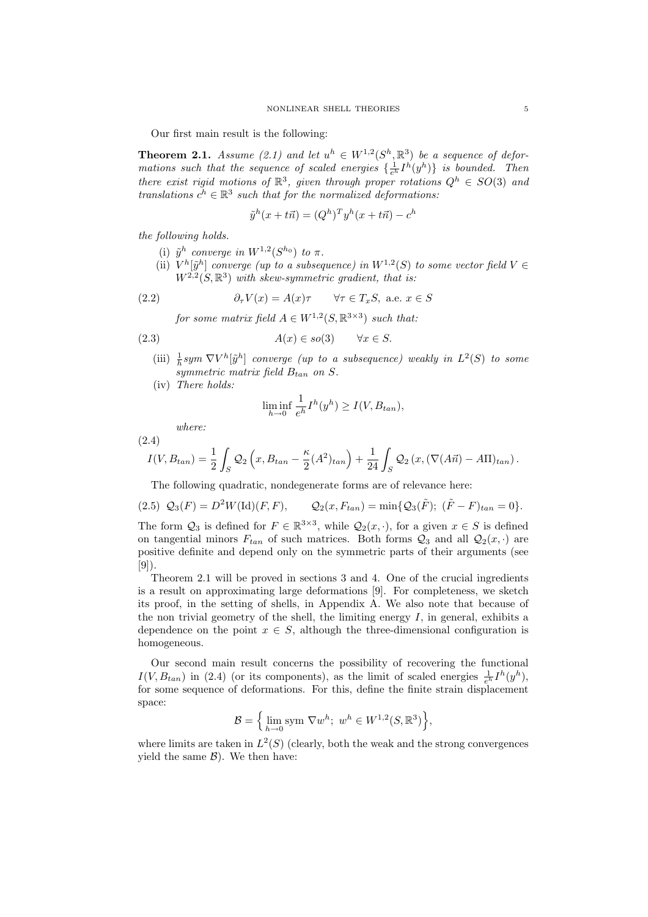Our first main result is the following:

**Theorem 2.1.** Assume (2.1) and let  $u^h \in W^{1,2}(S^h,\mathbb{R}^3)$  be a sequence of deformations such that the sequence of scaled energies  $\{\frac{1}{e^h}I^h(y^h)\}\$ is bounded. Then there exist rigid motions of  $\mathbb{R}^3$ , given through proper rotations  $Q^h \in SO(3)$  and translations  $c^h \in \mathbb{R}^3$  such that for the normalized deformations:

$$
\tilde{y}^h(x+t\vec{n}) = (Q^h)^T y^h(x+t\vec{n}) - c^h
$$

the following holds.

- (i)  $\tilde{y}^h$  converge in  $W^{1,2}(S^{h_0})$  to  $\pi$ .
- (ii)  $V^h[\tilde{y}^h]$  converge (up to a subsequence) in  $W^{1,2}(S)$  to some vector field  $V \in$  $W^{2,2}(S,\mathbb{R}^3)$  with skew-symmetric gradient, that is:

(2.2) 
$$
\partial_{\tau} V(x) = A(x)\tau \quad \forall \tau \in T_xS, \text{ a.e. } x \in S
$$

for some matrix field  $A \in W^{1,2}(S, \mathbb{R}^{3 \times 3})$  such that:

$$
(2.3) \t\t A(x) \in so(3) \t \forall x \in S.
$$

- (iii)  $\frac{1}{h}sym \nabla V^h[\tilde{y}^h]$  converge (up to a subsequence) weakly in  $L^2(S)$  to some symmetric matrix field  $B_{tan}$  on S.
- (iv) There holds:

$$
\liminf_{h \to 0} \frac{1}{e^h} I^h(y^h) \ge I(V, B_{tan}),
$$

where:

(2.4)  
\n
$$
I(V, B_{tan}) = \frac{1}{2} \int_{S} Q_2 \left( x, B_{tan} - \frac{\kappa}{2} (A^2)_{tan} \right) + \frac{1}{24} \int_{S} Q_2 \left( x, (\nabla (A\vec{n}) - A\Pi)_{tan} \right).
$$

The following quadratic, nondegenerate forms are of relevance here:

$$
(2.5) \ \mathcal{Q}_3(F) = D^2 W(\text{Id})(F, F), \qquad \mathcal{Q}_2(x, F_{tan}) = \min\{\mathcal{Q}_3(\tilde{F}); \ (\tilde{F} - F)_{tan} = 0\}.
$$

The form  $Q_3$  is defined for  $F \in \mathbb{R}^{3 \times 3}$ , while  $Q_2(x, \cdot)$ , for a given  $x \in S$  is defined on tangential minors  $F_{tan}$  of such matrices. Both forms  $Q_3$  and all  $Q_2(x, \cdot)$  are positive definite and depend only on the symmetric parts of their arguments (see [9]).

Theorem 2.1 will be proved in sections 3 and 4. One of the crucial ingredients is a result on approximating large deformations [9]. For completeness, we sketch its proof, in the setting of shells, in Appendix A. We also note that because of the non trivial geometry of the shell, the limiting energy  $I$ , in general, exhibits a dependence on the point  $x \in S$ , although the three-dimensional configuration is homogeneous.

Our second main result concerns the possibility of recovering the functional  $I(V, B_{tan})$  in (2.4) (or its components), as the limit of scaled energies  $\frac{1}{e^h}I^h(y^h)$ , for some sequence of deformations. For this, define the finite strain displacement space: n o

$$
\mathcal{B} = \Big\{ \lim_{h \to 0} \text{sym } \nabla w^h; \ w^h \in W^{1,2}(S, \mathbb{R}^3) \Big\},\
$$

where limits are taken in  $L^2(S)$  (clearly, both the weak and the strong convergences yield the same  $\mathcal{B}$ ). We then have: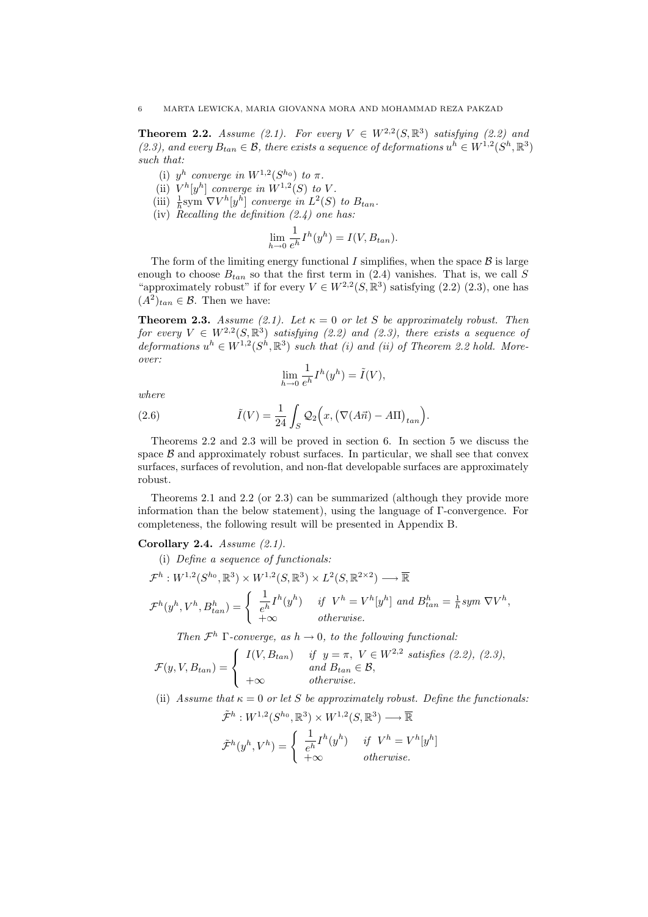**Theorem 2.2.** Assume (2.1). For every  $V \in W^{2,2}(S,\mathbb{R}^3)$  satisfying (2.2) and (2.3), and every  $B_{tan} \in \mathcal{B}$ , there exists a sequence of deformations  $u^h \in W^{1,2}(S^h,\mathbb{R}^3)$ such that:

- (i)  $y^h$  converge in  $W^{1,2}(S^{h_0})$  to  $\pi$ .
- (ii)  $V^h[y^h]$  converge in  $W^{1,2}(S)$  to V.
- (iii)  $\frac{1}{h}$ sym  $\nabla V^h[y^h]$  converge in  $L^2(S)$  to  $B_{tan}$ .
- (iv) Recalling the definition  $(2.4)$  one has:

$$
\lim_{h \to 0} \frac{1}{e^h} I^h(y^h) = I(V, B_{tan}).
$$

The form of the limiting energy functional  $I$  simplifies, when the space  $\mathcal{B}$  is large enough to choose  $B_{tan}$  so that the first term in (2.4) vanishes. That is, we call S "approximately robust" if for every  $V \in W^{2,2}(S,\mathbb{R}^3)$  satisfying  $(2.2)$   $(2.3)$ , one has  $(A^2)_{tan} \in \mathcal{B}$ . Then we have:

**Theorem 2.3.** Assume (2.1). Let  $\kappa = 0$  or let S be approximately robust. Then for every  $V \in W^{2,2}(S,\mathbb{R}^3)$  satisfying (2.2) and (2.3), there exists a sequence of deformations  $u^h \in W^{1,2}(S^h,\mathbb{R}^3)$  such that (i) and (ii) of Theorem 2.2 hold. Moreover:

$$
\lim_{h \to 0} \frac{1}{e^h} I^h(y^h) = \tilde{I}(V),
$$

where

(2.6) 
$$
\tilde{I}(V) = \frac{1}{24} \int_{S} \mathcal{Q}_2\Big(x, \big(\nabla(A\vec{n}) - A\Pi\big)_{tan}\Big).
$$

Theorems 2.2 and 2.3 will be proved in section 6. In section 5 we discuss the space  $\beta$  and approximately robust surfaces. In particular, we shall see that convex surfaces, surfaces of revolution, and non-flat developable surfaces are approximately robust.

Theorems 2.1 and 2.2 (or 2.3) can be summarized (although they provide more information than the below statement), using the language of Γ-convergence. For completeness, the following result will be presented in Appendix B.

## Corollary 2.4. Assume (2.1).

(i) Define a sequence of functionals:

$$
\mathcal{F}^h: W^{1,2}(S^{h_0}, \mathbb{R}^3) \times W^{1,2}(S, \mathbb{R}^3) \times L^2(S, \mathbb{R}^{2 \times 2}) \longrightarrow \overline{\mathbb{R}}
$$
  

$$
\mathcal{F}^h(y^h, V^h, B^h_{tan}) = \begin{cases} \frac{1}{e^h} I^h(y^h) & \text{if } V^h = V^h[y^h] \text{ and } B^h_{tan} = \frac{1}{h} \text{sym } \nabla V^h, \\ +\infty & \text{otherwise.} \end{cases}
$$

Then  $\mathcal{F}^h$   $\Gamma$ -converge, as  $h \to 0$ , to the following functional:

$$
\mathcal{F}(y, V, B_{tan}) = \begin{cases} I(V, B_{tan}) & \text{if } y = \pi, V \in W^{2,2} \text{ satisfies (2.2), (2.3),} \\ \text{and } B_{tan} \in \mathcal{B}, \\ +\infty & otherwise. \end{cases}
$$

(ii) Assume that  $\kappa = 0$  or let S be approximately robust. Define the functionals:

$$
\tilde{\mathcal{F}}^h: W^{1,2}(S^{h_0}, \mathbb{R}^3) \times W^{1,2}(S, \mathbb{R}^3) \longrightarrow \overline{\mathbb{R}}
$$

$$
\tilde{\mathcal{F}}^h(y^h, V^h) = \begin{cases} \frac{1}{e^h} I^h(y^h) & \text{if } V^h = V^h[y^h] \\ +\infty & \text{otherwise.} \end{cases}
$$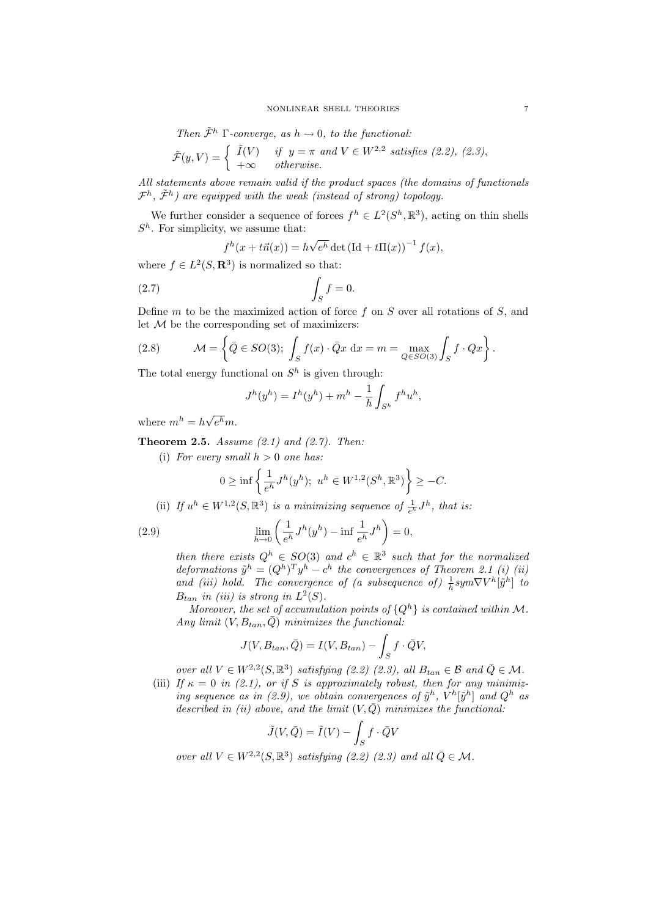Then  $\tilde{\mathcal{F}}^h$  Γ-converge, as  $h \to 0$ , to the functional:

$$
\tilde{\mathcal{F}}(y,V) = \begin{cases} \tilde{I}(V) & \text{if } y = \pi \text{ and } V \in W^{2,2} \text{ satisfies (2.2), (2.3),} \\ +\infty & otherwise. \end{cases}
$$

All statements above remain valid if the product spaces (the domains of functionals  $\mathcal{F}^h$ ,  $\tilde{\mathcal{F}}^h$ ) are equipped with the weak (instead of strong) topology.

We further consider a sequence of forces  $f^h \in L^2(S^h, \mathbb{R}^3)$ , acting on thin shells  $S<sup>h</sup>$ . For simplicity, we assume that:

$$
f^h(x+t\vec{n}(x)) = h\sqrt{e^h} \det\left(\text{Id}+t\Pi(x)\right)^{-1} f(x),
$$

where  $f \in L^2(S, \mathbf{R}^3)$  is normalized so that:

$$
(2.7) \t\t \t\t \int_{S} f = 0.
$$

Define  $m$  to be the maximized action of force  $f$  on  $S$  over all rotations of  $S$ , and let  $M$  be the corresponding set of maximizers:

(2.8) 
$$
\mathcal{M} = \left\{ \bar{Q} \in SO(3); \int_{S} f(x) \cdot \bar{Q}x \, dx = m = \max_{Q \in SO(3)} \int_{S} f \cdot Qx \right\}.
$$

The total energy functional on  $S<sup>h</sup>$  is given through:

$$
J^{h}(y^{h}) = I^{h}(y^{h}) + m^{h} - \frac{1}{h} \int_{S^{h}} f^{h} u^{h},
$$

where  $m^h = h \sqrt{\frac{h^2}{h}}$  $e^{\mathbb{A}}m$ .

**Theorem 2.5.** Assume  $(2.1)$  and  $(2.7)$ . Then:

(i) For every small  $h > 0$  one has:

$$
0 \ge \inf \left\{ \frac{1}{e^h} J^h(y^h); \ u^h \in W^{1,2}(S^h, \mathbb{R}^3) \right\} \ge -C.
$$

(ii) If 
$$
u^h \in W^{1,2}(S, \mathbb{R}^3)
$$
 is a minimizing sequence of  $\frac{1}{e^h} J^h$ , that is:

(2.9) 
$$
\lim_{h \to 0} \left( \frac{1}{e^h} J^h(y^h) - \inf \frac{1}{e^h} J^h \right) = 0,
$$

then there exists  $Q^h \in SO(3)$  and  $c^h \in \mathbb{R}^3$  such that for the normalized deformations  $\tilde{y}^h = (Q^h)^T y^h - c^h$  the convergences of Theorem 2.1 (i) (ii) and (iii) hold. The convergence of (a subsequence of)  $\frac{1}{h}sym\nabla V^h[\tilde{y}^h]$  to  $B_{tan}$  in (iii) is strong in  $L^2(S)$ .

Moreover, the set of accumulation points of  $\{Q^h\}$  is contained within M. Any limit  $(V, B_{tan}, \bar{Q})$  minimizes the functional:

$$
J(V, B_{tan}, \bar{Q}) = I(V, B_{tan}) - \int_S f \cdot \bar{Q}V,
$$

over all  $V \in W^{2,2}(S,\mathbb{R}^3)$  satisfying (2.2) (2.3), all  $B_{tan} \in \mathcal{B}$  and  $\overline{Q} \in \mathcal{M}$ .

(iii) If  $\kappa = 0$  in (2.1), or if S is approximately robust, then for any minimizing sequence as in (2.9), we obtain convergences of  $\tilde{y}^h$ ,  $V^h[\tilde{y}^h]$  and  $Q^h$  as described in (ii) above, and the limit  $(V,\overline{Q})$  minimizes the functional:

$$
\tilde{J}(V,\bar{Q}) = \tilde{I}(V) - \int_{S} f \cdot \bar{Q}V
$$

over all  $V \in W^{2,2}(S,\mathbb{R}^3)$  satisfying (2.2) (2.3) and all  $\overline{Q} \in \mathcal{M}$ .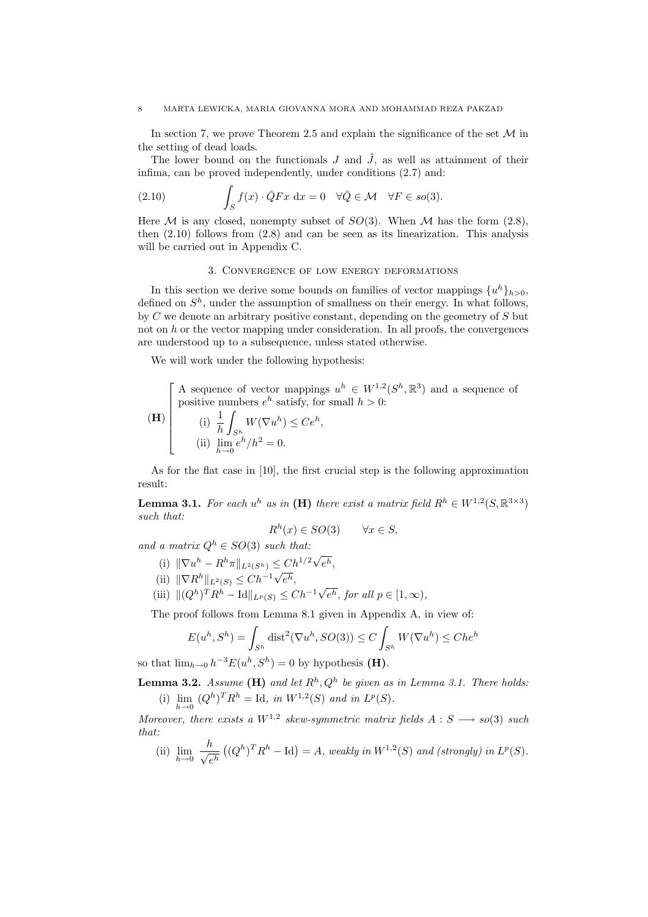In section 7, we prove Theorem 2.5 and explain the significance of the set  $\mathcal M$  in the setting of dead loads.

The lower bound on the functionals J and  $\tilde{J}$ , as well as attainment of their infima, can be proved independently, under conditions (2.7) and:

(2.10) 
$$
\int_{S} f(x) \cdot \bar{Q} F x \, dx = 0 \quad \forall \bar{Q} \in \mathcal{M} \quad \forall F \in so(3).
$$

Here  $M$  is any closed, nonempty subset of  $SO(3)$ . When  $M$  has the form  $(2.8)$ , then  $(2.10)$  follows from  $(2.8)$  and can be seen as its linearization. This analysis will be carried out in Appendix C.

## 3. Convergence of low energy deformations

In this section we derive some bounds on families of vector mappings  $\{u^h\}_{h>0}$ , defined on  $S<sup>h</sup>$ , under the assumption of smallness on their energy. In what follows, by C we denote an arbitrary positive constant, depending on the geometry of S but not on  $h$  or the vector mapping under consideration. In all proofs, the convergences are understood up to a subsequence, unless stated otherwise.

We will work under the following hypothesis:

 $\overline{a}$  $\overline{\phantom{a}}$ A sequence of vector mappings  $u^h \in W^{1,2}(S^h,\mathbb{R}^3)$  and a sequence of positive numbers  $e^h$  satisfy, for small  $h > 0$ :

$$
\begin{array}{c}\n\textbf{(H)} \begin{bmatrix}\n\textbf{(i)} \ \frac{1}{h} \int_{S^h} W(\nabla u^h) \leq Ce^h, \\
\textbf{(ii)} \ \lim_{h \to 0} e^h / h^2 = 0.\n\end{bmatrix}\n\end{array}
$$

As for the flat case in [10], the first crucial step is the following approximation result:

**Lemma 3.1.** For each  $u^h$  as in (**H**) there exist a matrix field  $R^h \in W^{1,2}(S, \mathbb{R}^{3 \times 3})$ such that:

$$
R^h(x) \in SO(3) \qquad \forall x \in S,
$$

and a matrix  $Q^h \in SO(3)$  such that:

- (i)  $\|\nabla u^h R^h \pi\|_{L^2(S^h)} \leq C h^{1/2} \sqrt{2}$  $\leq C h^{1/2} \sqrt{e^h},$
- (ii)  $\|\nabla R^h\|_{L^2(S)} \leq Ch^{-1}\sqrt{e^h}$ ,
- (iii)  $\|(Q^h)^T R^h \text{Id}\|_{L^p(S)} \leq Ch^{-1} \sqrt{\frac{1}{2}}$  $e^h$ , for all  $p \in [1,\infty)$ ,

The proof follows from Lemma 8.1 given in Appendix A, in view of:

$$
E(u^h, S^h) = \int_{S^h} \text{dist}^2(\nabla u^h, SO(3)) \le C \int_{S^h} W(\nabla u^h) \le C h e^h
$$

so that  $\lim_{h\to 0} h^{-3}E(u^h, S^h) = 0$  by hypothesis (**H**).

**Lemma 3.2.** Assume (**H**) and let  $R^h$ ,  $Q^h$  be given as in Lemma 3.1. There holds: (i)  $\lim_{h \to 0} (Q^h)^T R^h = \text{Id}, \text{ in } W^{1,2}(S) \text{ and in } L^p(S).$ 

Moreover, there exists a  $W^{1,2}$  skew-symmetric matrix fields  $A : S \longrightarrow so(3)$  such that:

 $(i)$   $\lim_{h\to 0}$  $\frac{h}{\sqrt{2}}$ e h ¡  $(Q<sup>h</sup>)<sup>T</sup>R<sup>h</sup> - Id$  = A, weakly in  $W<sup>1,2</sup>(S)$  and (strongly) in  $L<sup>p</sup>(S)$ .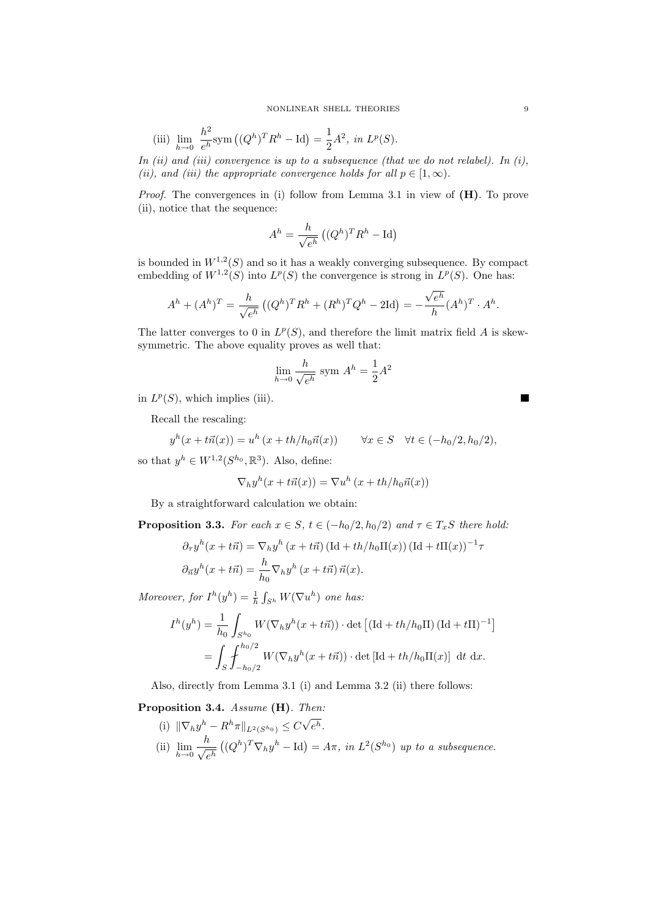(iii) 
$$
\lim_{h \to 0} \frac{h^2}{e^h} \text{sym}\left((Q^h)^T R^h - \text{Id}\right) = \frac{1}{2} A^2
$$
, in  $L^p(S)$ .

In (ii) and (iii) convergence is up to a subsequence (that we do not relabel). In (i), (ii), and (iii) the appropriate convergence holds for all  $p \in [1,\infty)$ .

*Proof.* The convergences in (i) follow from Lemma 3.1 in view of  $(H)$ . To prove (ii), notice that the sequence:

$$
A^{h} = \frac{h}{\sqrt{e^{h}}} ((Q^{h})^{T} R^{h} - \text{Id})
$$

is bounded in  $W^{1,2}(S)$  and so it has a weakly converging subsequence. By compact embedding of  $W^{1,2}(S)$  into  $L^p(S)$  the convergence is strong in  $L^p(S)$ . One has:

$$
A^{h} + (A^{h})^{T} = \frac{h}{\sqrt{e^{h}}} ((Q^{h})^{T} R^{h} + (R^{h})^{T} Q^{h} - 2\text{Id}) = -\frac{\sqrt{e^{h}}}{h} (A^{h})^{T} \cdot A^{h}.
$$

The latter converges to 0 in  $L^p(S)$ , and therefore the limit matrix field A is skewsymmetric. The above equality proves as well that:

$$
\lim_{h \to 0} \frac{h}{\sqrt{e^h}} \text{ sym } A^h = \frac{1}{2}A^2
$$

in  $L^p(S)$ , which implies (iii).

Recall the rescaling:

$$
y^h(x + t\vec{n}(x)) = u^h(x + th/h_0\vec{n}(x)) \qquad \forall x \in S \quad \forall t \in (-h_0/2, h_0/2),
$$

so that  $y^h \in W^{1,2}(S^{h_0}, \mathbb{R}^3)$ . Also, define:

$$
\nabla_h y^h(x + t\vec{n}(x)) = \nabla u^h(x + th/h_0\vec{n}(x))
$$

By a straightforward calculation we obtain:

**Proposition 3.3.** For each  $x \in S$ ,  $t \in (-h_0/2, h_0/2)$  and  $\tau \in T_xS$  there hold:

$$
\partial_{\tau} y^h(x+t\vec{n}) = \nabla_h y^h(x+t\vec{n}) \left( \mathrm{Id} + th/h_0 \mathrm{\Pi}(x) \right) (\mathrm{Id} + t\mathrm{\Pi}(x))^{-1} \tau
$$

$$
\partial_{\vec{n}} y^h(x+t\vec{n}) = \frac{h}{h_0} \nabla_h y^h(x+t\vec{n}) \, \vec{n}(x).
$$

Moreover, for  $I^h(y^h) = \frac{1}{h} \int_{S^h} W(\nabla u^h)$  one has:

$$
I^h(y^h) = \frac{1}{h_0} \int_{S^{h_0}} W(\nabla_h y^h(x + t\vec{n})) \cdot \det \left[ (\text{Id} + th/h_0 \Pi) (\text{Id} + t\Pi)^{-1} \right]
$$
  
= 
$$
\int_S \int_{-h_0/2}^{h_0/2} W(\nabla_h y^h(x + t\vec{n})) \cdot \det \left[ \text{Id} + th/h_0 \Pi(x) \right] dt dx.
$$

Also, directly from Lemma 3.1 (i) and Lemma 3.2 (ii) there follows:

Proposition 3.4. Assume (H). Then:

(i)  $\|\nabla_h y^h - R^h \pi\|_{L^2(S^{h_0})} \leq C\sqrt{2}$  $e^h$ .  $(i)$   $\lim_{h\to 0}$  $\frac{h}{\sqrt{2}}$ e h ¡  $(Q^h)^T \nabla_h y^h - \text{Id} = A\pi$ , in  $L^2(S^{h_0})$  up to a subsequence.  $\blacksquare$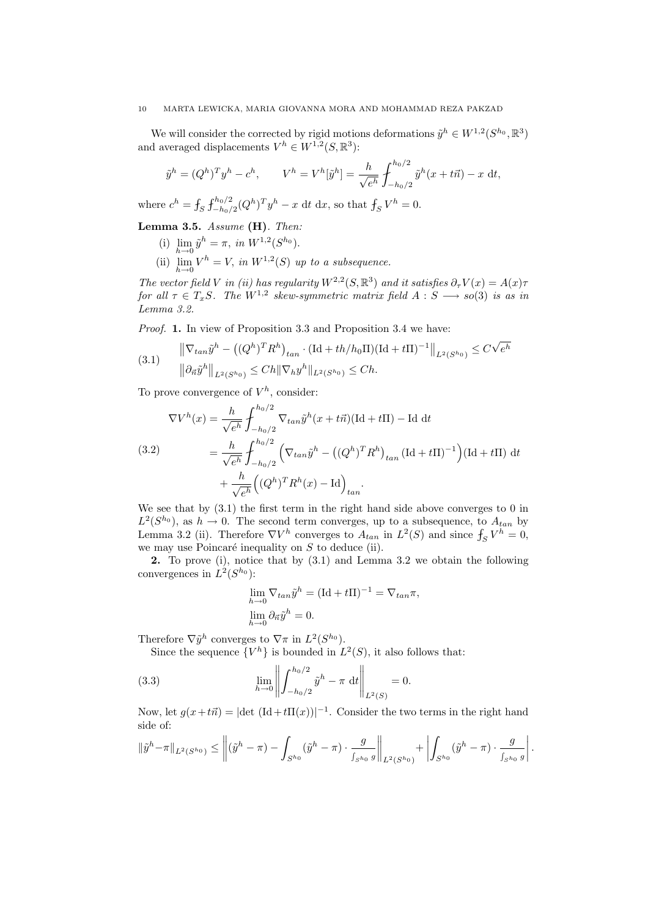We will consider the corrected by rigid motions deformations  $\tilde{y}^h \in W^{1,2}(S^{h_0}, \mathbb{R}^3)$ and averaged displacements  $V^h \in W^{1,2}(S,\mathbb{R}^3)$ :

$$
\tilde{y}^h = (Q^h)^T y^h - c^h, \qquad V^h = V^h[\tilde{y}^h] = \frac{h}{\sqrt{e^h}} \int_{-h_0/2}^{h_0/2} \tilde{y}^h(x + t\vec{n}) - x \, dt,
$$

where  $c^h = \int_S \int_{-h_0/2}^{h_0/2} (Q^h)^T y^h - x \, dt \, dx$ , so that  $\int_S V^h = 0$ .

Lemma 3.5. Assume (H). Then:

- (i)  $\lim_{h \to 0} \tilde{y}^h = \pi$ , in  $W^{1,2}(S^{h_0})$ .
- (ii)  $\lim_{h\to 0} V^h = V$ , in  $W^{1,2}(S)$  up to a subsequence.

The vector field V in (ii) has regularity  $W^{2,2}(S,\mathbb{R}^3)$  and it satisfies  $\partial_{\tau}V(x) = A(x)\tau$ for all  $\tau \in T_xS$ . The  $W^{1,2}$  skew-symmetric matrix field  $A : S \longrightarrow so(3)$  is as in Lemma 3.2.

Proof. 1. In view of Proposition 3.3 and Proposition 3.4 we have:

(3.1) 
$$
\|\nabla_{tan}\tilde{y}^h - ((Q^h)^T R^h)_{tan} \cdot (\text{Id} + th/h_0 \Pi)(\text{Id} + t\Pi)^{-1}\|_{L^2(S^{h_0})} \leq C\sqrt{e^h}
$$

$$
\|\partial_{\vec{n}}\tilde{y}^h\|_{L^2(S^{h_0})} \leq Ch \|\nabla_h y^h\|_{L^2(S^{h_0})} \leq Ch.
$$

To prove convergence of  $V^h$ , consider:

$$
\nabla V^{h}(x) = \frac{h}{\sqrt{e^{h}}} \int_{-h_{0}/2}^{h_{0}/2} \nabla_{tan} \tilde{y}^{h}(x + t\vec{n}) (\text{Id} + t\text{II}) - \text{Id} dt
$$
\n(3.2)\n
$$
= \frac{h}{\sqrt{e^{h}}} \int_{-h_{0}/2}^{h_{0}/2} \left( \nabla_{tan} \tilde{y}^{h} - \left( (Q^{h})^{T} R^{h} \right)_{tan} (\text{Id} + t\text{II})^{-1} \right) (\text{Id} + t\text{II}) dt + \frac{h}{\sqrt{e^{h}}} \left( (Q^{h})^{T} R^{h}(x) - \text{Id} \right)_{tan}.
$$

We see that by  $(3.1)$  the first term in the right hand side above converges to 0 in  $L^2(S^{h_0})$ , as  $h \to 0$ . The second term converges, up to a subsequence, to  $A_{tan}$  by Lemma 3.2 (ii). Therefore  $\nabla V^h$  converges to  $A_{tan}$  in  $L^2(S)$  and since  $f_S V^h = 0$ , we may use Poincaré inequality on  $S$  to deduce (ii).

2. To prove (i), notice that by (3.1) and Lemma 3.2 we obtain the following convergences in  $L^2(S^{h_0})$ :

$$
\lim_{h \to 0} \nabla_{tan} \tilde{y}^h = (\text{Id} + t\Pi)^{-1} = \nabla_{tan} \pi,
$$
  
\n
$$
\lim_{h \to 0} \partial_{\vec{n}} \tilde{y}^h = 0.
$$

Therefore  $\nabla \tilde{y}^h$  converges to  $\nabla \pi$  in  $L^2(S^{h_0})$ .

Since the sequence  ${V^h}$  is bounded in  $L^2(S)$ , it also follows that:

(3.3) 
$$
\lim_{h \to 0} \left\| \int_{-h_0/2}^{h_0/2} \tilde{y}^h - \pi \, dt \right\|_{L^2(S)} = 0.
$$

Now, let  $g(x+t\vec{n}) = |\det (\text{Id} + t\Pi(x))|^{-1}$ . Consider the two terms in the right hand side of: ° °  $\overline{a}$ ¯

$$
\|\tilde{y}^h - \pi\|_{L^2(S^{h_0})} \le \left\|(\tilde{y}^h - \pi) - \int_{S^{h_0}} (\tilde{y}^h - \pi) \cdot \frac{g}{\int_{S^{h_0}} g} \right\|_{L^2(S^{h_0})} + \left| \int_{S^{h_0}} (\tilde{y}^h - \pi) \cdot \frac{g}{\int_{S^{h_0}} g} \right|.
$$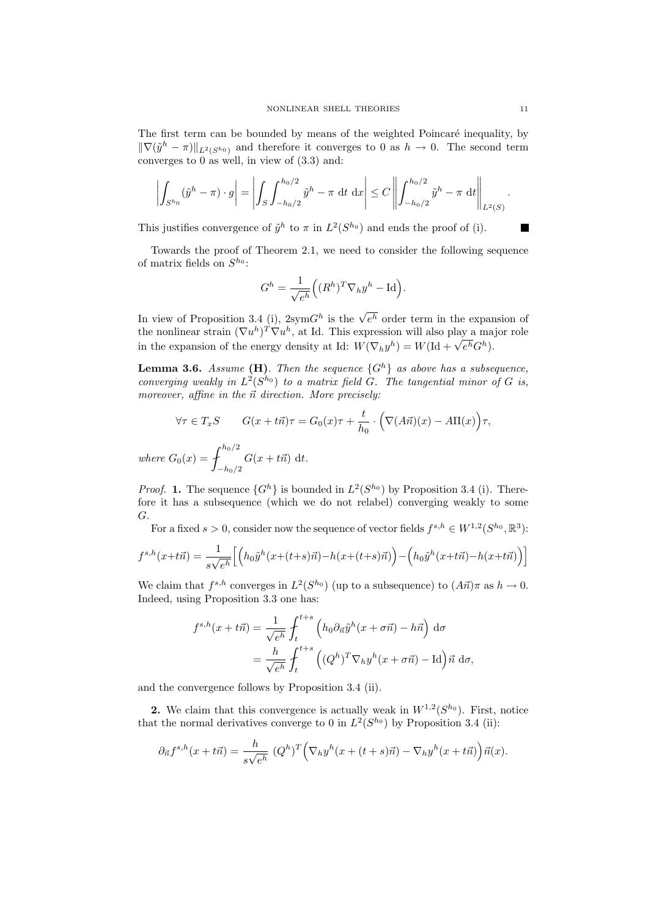The first term can be bounded by means of the weighted Poincaré inequality, by  $\|\nabla(\tilde{y}^h - \pi)\|_{L^2(S^{h_0})}$  and therefore it converges to 0 as  $h \to 0$ . The second term converges to 0 as well, in view of (3.3) and:

$$
\left| \int_{S^{h_0}} (\tilde{y}^h - \pi) \cdot g \right| = \left| \int_S \int_{-h_0/2}^{h_0/2} \tilde{y}^h - \pi \, dt \, dx \right| \leq C \left\| \int_{-h_0/2}^{h_0/2} \tilde{y}^h - \pi \, dt \right\|_{L^2(S)}.
$$

This justifies convergence of  $\tilde{y}^h$  to  $\pi$  in  $L^2(S^{h_0})$  and ends the proof of (i).

Towards the proof of Theorem 2.1, we need to consider the following sequence of matrix fields on  $S^{h_0}$ :

$$
G^h = \frac{1}{\sqrt{e^h}} \Big( (R^h)^T \nabla_h y^h - \text{Id} \Big).
$$

In view of Proposition 3.4 (i),  $2symG<sup>h</sup>$  is the  $\sqrt{e^h}$  order term in the expansion of the nonlinear strain  $(\nabla u^h)^T \nabla u^h$ , at Id. This expression will also play a major role the nonlinear strain  $(\nabla u^{\alpha})^2 \nabla u^{\alpha}$ , at id: I his expression will also play a magnetic strain the expansion of the energy density at Id:  $W(\nabla_h y^h) = W(\text{Id} + \sqrt{e^h} G^h)$ .

**Lemma 3.6.** Assume (H). Then the sequence  $\{G^h\}$  as above has a subsequence, converging weakly in  $L^2(S^{h_0})$  to a matrix field  $G$ . The tangential minor of G is, moreover, affine in the  $\vec{n}$  direction. More precisely:

$$
\forall \tau \in T_x S \qquad G(x + t\vec{n})\tau = G_0(x)\tau + \frac{t}{h_0} \cdot \left(\nabla(A\vec{n})(x) - A\Pi(x)\right)\tau,
$$
  
where  $G_0(x) = \int_{-h_0/2}^{h_0/2} G(x + t\vec{n}) dt$ .

*Proof.* 1. The sequence  $\{G^h\}$  is bounded in  $L^2(S^{h_0})$  by Proposition 3.4 (i). Therefore it has a subsequence (which we do not relabel) converging weakly to some G.

For a fixed  $s > 0$ , consider now the sequence of vector fields  $f^{s,h} \in W^{1,2}(S^{h_0}, \mathbb{R}^3)$ :

$$
f^{s,h}(x+t\vec{n}) = \frac{1}{s\sqrt{e^h}} \Big[ \Big( h_0 \tilde{y}^h(x+(t+s)\vec{n}) - h(x+(t+s)\vec{n}) \Big) - \Big( h_0 \tilde{y}^h(x+t\vec{n}) - h(x+t\vec{n}) \Big) \Big]
$$

We claim that  $f^{s,h}$  converges in  $L^2(S^{h_0})$  (up to a subsequence) to  $(A\vec{n})\pi$  as  $h \to 0$ . Indeed, using Proposition 3.3 one has:

$$
f^{s,h}(x+t\vec{n}) = \frac{1}{\sqrt{e^h}} \int_t^{t+s} \left( h_0 \partial_{\vec{n}} \tilde{y}^h(x+\sigma \vec{n}) - h\vec{n} \right) d\sigma
$$
  
= 
$$
\frac{h}{\sqrt{e^h}} \int_t^{t+s} \left( (Q^h)^T \nabla_h y^h(x+\sigma \vec{n}) - \text{Id} \right) \vec{n} d\sigma,
$$

and the convergence follows by Proposition 3.4 (ii).

**2.** We claim that this convergence is actually weak in  $W^{1,2}(S^{h_0})$ . First, notice that the normal derivatives converge to 0 in  $L^2(S^{h_0})$  by Proposition 3.4 (ii):

$$
\partial_{\vec{n}}f^{s,h}(x+t\vec{n}) = \frac{h}{s\sqrt{e^h}} \left(Q^h\right)^T \left(\nabla_h y^h(x+(t+s)\vec{n}) - \nabla_h y^h(x+t\vec{n})\right) \vec{n}(x).
$$

 $\blacksquare$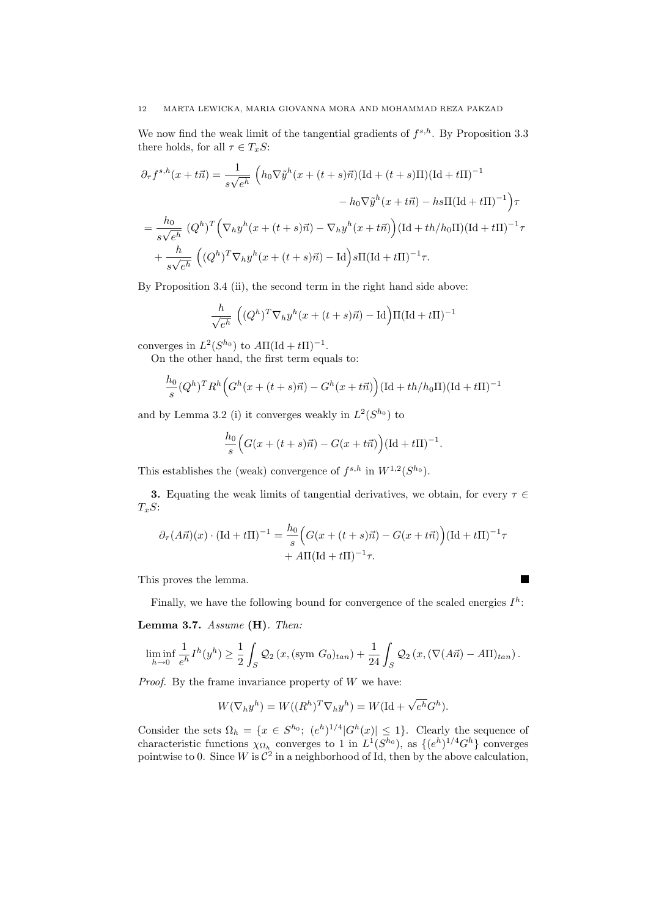We now find the weak limit of the tangential gradients of  $f^{s,h}$ . By Proposition 3.3 there holds, for all  $\tau \in T_xS$ :

$$
\partial_{\tau} f^{s,h}(x+t\vec{n}) = \frac{1}{s\sqrt{e^h}} \left( h_0 \nabla \tilde{y}^h(x+(t+s)\vec{n}) (\text{Id}+(t+s)\Pi)(\text{Id}+t\Pi)^{-1} \right. \n- h_0 \nabla \tilde{y}^h(x+t\vec{n}) - h s \Pi (\text{Id}+t\Pi)^{-1} \right) \tau \n= \frac{h_0}{s\sqrt{e^h}} \left( Q^h \right)^T \left( \nabla_h y^h(x+(t+s)\vec{n}) - \nabla_h y^h(x+t\vec{n}) \right) (\text{Id}+th/h_0\Pi)(\text{Id}+t\Pi)^{-1} \tau \n+ \frac{h}{s\sqrt{e^h}} \left( (Q^h)^T \nabla_h y^h(x+(t+s)\vec{n}) - \text{Id} \right) s \Pi (\text{Id}+t\Pi)^{-1} \tau.
$$

By Proposition 3.4 (ii), the second term in the right hand side above:

$$
\frac{h}{\sqrt{e^h}} \left( (Q^h)^T \nabla_h y^h (x + (t+s)\vec{n}) - \text{Id} \right) \Pi (\text{Id} + t\Pi)^{-1}
$$

converges in  $L^2(S^{h_0})$  to  $A\Pi(\mathrm{Id} + t\Pi)^{-1}$ .

On the other hand, the first term equals to:

$$
\frac{h_0}{s} (Q^h)^T R^h \Big( G^h(x + (t + s)\vec{n}) - G^h(x + t\vec{n}) \Big) (\text{Id} + th/h_0 \Pi) (\text{Id} + t\Pi)^{-1}
$$

and by Lemma 3.2 (i) it converges weakly in  $L^2(S^{h_0})$  to

$$
\frac{h_0}{s} \Big( G(x+(t+s)\vec{n})-G(x+t\vec{n}) \Big) (\text{Id}+t\Pi)^{-1}.
$$

This establishes the (weak) convergence of  $f^{s,h}$  in  $W^{1,2}(S^{h_0})$ .

3. Equating the weak limits of tangential derivatives, we obtain, for every  $\tau \in$  $T_xS$ :

$$
\partial_{\tau}(A\vec{n})(x) \cdot (\text{Id} + t\Pi)^{-1} = \frac{h_0}{s} \Big( G(x + (t+s)\vec{n}) - G(x + t\vec{n}) \Big) (\text{Id} + t\Pi)^{-1} \tau
$$

$$
+ A\Pi (\text{Id} + t\Pi)^{-1} \tau.
$$

This proves the lemma.

Finally, we have the following bound for convergence of the scaled energies  $I^h$ :

■

Lemma 3.7. Assume (H). Then:

$$
\liminf_{h\to 0}\frac{1}{e^h}I^h(y^h)\geq \frac{1}{2}\int_S \mathcal{Q}_2(x,(\text{sym }G_0)_{tan})+\frac{1}{24}\int_S \mathcal{Q}_2(x,(\nabla(A\vec{n})-A\Pi)_{tan}).
$$

*Proof.* By the frame invariance property of  $W$  we have:

$$
W(\nabla_h y^h) = W((R^h)^T \nabla_h y^h) = W(\mathrm{Id} + \sqrt{e^h} G^h).
$$

Consider the sets  $\Omega_h = \{x \in S^{h_0}; (e^h)^{1/4} | G^h(x) | \leq 1\}.$  Clearly the sequence of characteristic functions  $\chi_{\Omega_h}$  converges to 1 in  $L^1(S^{h_0})$ , as  $\{(e^h)^{1/4}G^h\}$  converges pointwise to 0. Since W is  $\mathcal{C}^2$  in a neighborhood of Id, then by the above calculation,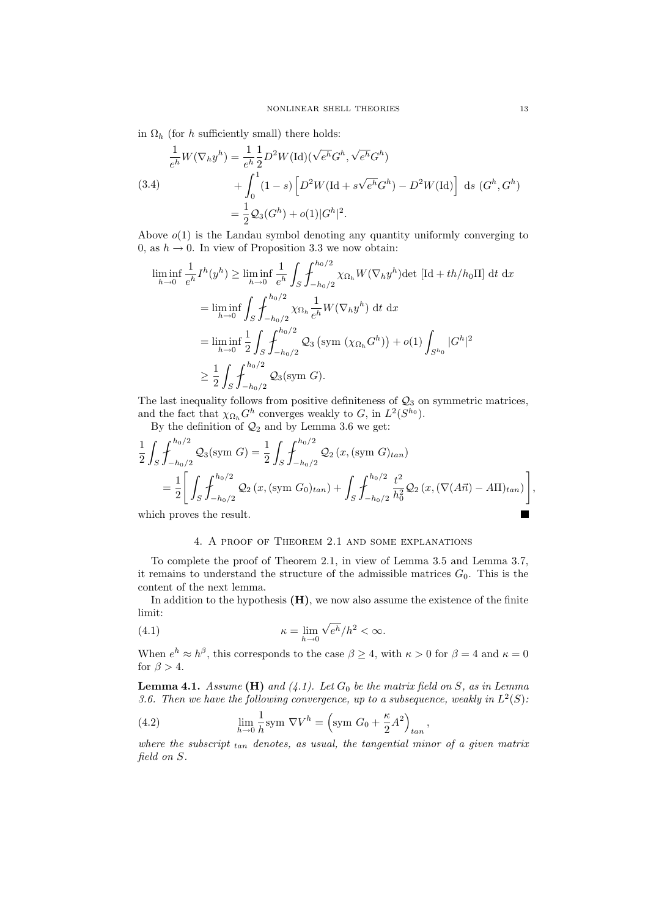in  $\Omega_h$  (for h sufficiently small) there holds:

(3.4)  
\n
$$
\frac{1}{e^h}W(\nabla_h y^h) = \frac{1}{e^h} \frac{1}{2} D^2 W(\text{Id})(\sqrt{e^h} G^h, \sqrt{e^h} G^h)
$$
\n
$$
+ \int_0^1 (1 - s) \left[ D^2 W(\text{Id} + s\sqrt{e^h} G^h) - D^2 W(\text{Id}) \right] ds \ (G^h, G^h)
$$
\n
$$
= \frac{1}{2} \mathcal{Q}_3(G^h) + o(1) |G^h|^2.
$$

Above  $o(1)$  is the Landau symbol denoting any quantity uniformly converging to 0, as  $h \to 0$ . In view of Proposition 3.3 we now obtain:

$$
\liminf_{h \to 0} \frac{1}{e^h} I^h(y^h) \ge \liminf_{h \to 0} \frac{1}{e^h} \int_S \int_{-h_0/2}^{h_0/2} \chi_{\Omega_h} W(\nabla_h y^h) \det [\text{Id} + th/h_0 \text{II}] \, \mathrm{d}t \, \mathrm{d}x
$$
\n
$$
= \liminf_{h \to 0} \int_S \int_{-h_0/2}^{h_0/2} \chi_{\Omega_h} \frac{1}{e^h} W(\nabla_h y^h) \, \mathrm{d}t \, \mathrm{d}x
$$
\n
$$
= \liminf_{h \to 0} \frac{1}{2} \int_S \int_{-h_0/2}^{h_0/2} \mathcal{Q}_3 \left( \text{sym } (\chi_{\Omega_h} G^h) \right) + o(1) \int_{S^{h_0}} |G^h|^2
$$
\n
$$
\ge \frac{1}{2} \int_S \int_{-h_0/2}^{h_0/2} \mathcal{Q}_3 \left( \text{sym } G \right).
$$

The last inequality follows from positive definiteness of  $\mathcal{Q}_3$  on symmetric matrices, and the fact that  $\chi_{\Omega_h} G^h$  converges weakly to G, in  $L^2(S^{h_0})$ .

By the definition of  $\mathcal{Q}_2$  and by Lemma 3.6 we get:

$$
\frac{1}{2} \int_{S} \int_{-h_0/2}^{h_0/2} \mathcal{Q}_3(\text{sym } G) = \frac{1}{2} \int_{S} \int_{-h_0/2}^{h_0/2} \mathcal{Q}_2(x, (\text{sym } G)_{tan})
$$
\n
$$
= \frac{1}{2} \left[ \int_{S} \int_{-h_0/2}^{h_0/2} \mathcal{Q}_2(x, (\text{sym } G_0)_{tan}) + \int_{S} \int_{-h_0/2}^{h_0/2} \frac{t^2}{h_0^2} \mathcal{Q}_2(x, (\nabla(A\vec{n}) - A\Pi)_{tan}) \right],
$$

which proves the result.

## 4. A proof of Theorem 2.1 and some explanations

To complete the proof of Theorem 2.1, in view of Lemma 3.5 and Lemma 3.7, it remains to understand the structure of the admissible matrices  $G_0$ . This is the content of the next lemma.

In addition to the hypothesis  $(H)$ , we now also assume the existence of the finite limit:

(4.1) 
$$
\kappa = \lim_{h \to 0} \sqrt{e^h}/h^2 < \infty.
$$

When  $e^h \approx h^{\beta}$ , this corresponds to the case  $\beta \geq 4$ , with  $\kappa > 0$  for  $\beta = 4$  and  $\kappa = 0$ for  $\beta > 4$ .

**Lemma 4.1.** Assume (H) and  $(4.1)$ . Let  $G_0$  be the matrix field on S, as in Lemma 3.6. Then we have the following convergence, up to a subsequence, weakly in  $L^2(S)$ :

(4.2) 
$$
\lim_{h \to 0} \frac{1}{h} \text{sym } \nabla V^h = \left(\text{sym } G_0 + \frac{\kappa}{2} A^2\right)_{tan},
$$

where the subscript  $_{tan}$  denotes, as usual, the tangential minor of a given matrix field on S.

■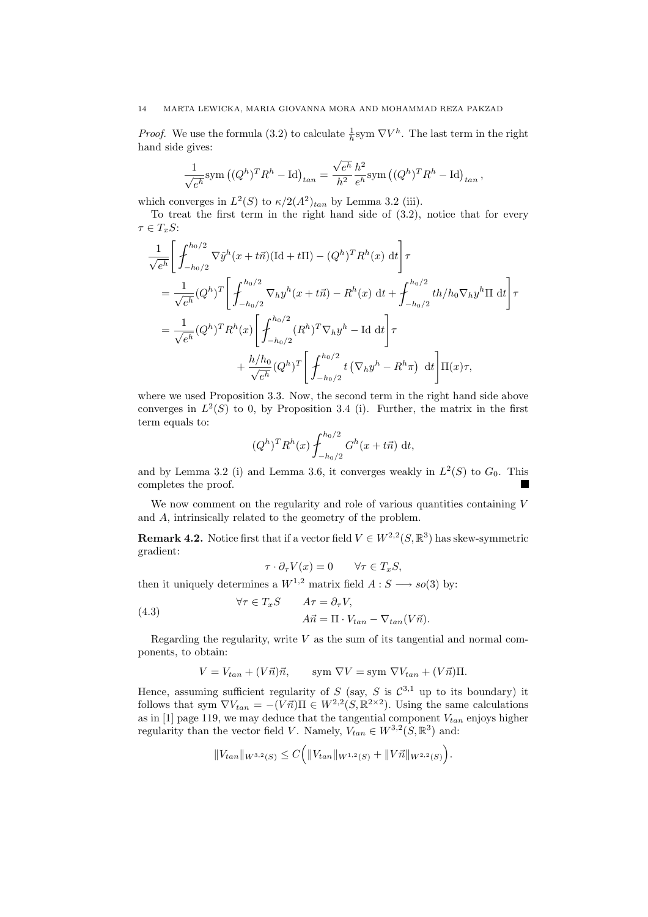*Proof.* We use the formula (3.2) to calculate  $\frac{1}{h}$ sym  $\nabla V^h$ . The last term in the right hand side gives:

$$
\frac{1}{\sqrt{e^h}} \text{sym}\left((Q^h)^T R^h - \text{Id}\right)_{tan} = \frac{\sqrt{e^h}}{h^2} \frac{h^2}{e^h} \text{sym}\left((Q^h)^T R^h - \text{Id}\right)_{tan},
$$

which converges in  $L^2(S)$  to  $\kappa/2(A^2)_{tan}$  by Lemma 3.2 (iii).

To treat the first term in the right hand side of (3.2), notice that for every  $\tau \in T_xS$ :

$$
\frac{1}{\sqrt{e^h}} \left[ \int_{-h_0/2}^{h_0/2} \nabla \tilde{y}^h(x + t\vec{n}) (\text{Id} + t\Pi) - (Q^h)^T R^h(x) \, \mathrm{d}t \right] \tau
$$
\n
$$
= \frac{1}{\sqrt{e^h}} (Q^h)^T \left[ \int_{-h_0/2}^{h_0/2} \nabla_h y^h(x + t\vec{n}) - R^h(x) \, \mathrm{d}t + \int_{-h_0/2}^{h_0/2} t h / h_0 \nabla_h y^h \Pi \, \mathrm{d}t \right] \tau
$$
\n
$$
= \frac{1}{\sqrt{e^h}} (Q^h)^T R^h(x) \left[ \int_{-h_0/2}^{h_0/2} (R^h)^T \nabla_h y^h - \text{Id} \, \mathrm{d}t \right] \tau
$$
\n
$$
+ \frac{h/h_0}{\sqrt{e^h}} (Q^h)^T \left[ \int_{-h_0/2}^{h_0/2} t (\nabla_h y^h - R^h \pi) \, \mathrm{d}t \right] \Pi(x) \tau,
$$

where we used Proposition 3.3. Now, the second term in the right hand side above converges in  $L^2(S)$  to 0, by Proposition 3.4 (i). Further, the matrix in the first term equals to:

$$
(Q^h)^T R^h(x) \int_{-h_0/2}^{h_0/2} G^h(x + t\vec{n}) dt
$$
,

and by Lemma 3.2 (i) and Lemma 3.6, it converges weakly in  $L^2(S)$  to  $G_0$ . This completes the proof.

We now comment on the regularity and role of various quantities containing V and A, intrinsically related to the geometry of the problem.

**Remark 4.2.** Notice first that if a vector field  $V \in W^{2,2}(S,\mathbb{R}^3)$  has skew-symmetric gradient:

$$
\tau \cdot \partial_{\tau} V(x) = 0 \qquad \forall \tau \in T_x S,
$$

then it uniquely determines a  $W^{1,2}$  matrix field  $A: S \longrightarrow so(3)$  by:

(4.3) 
$$
\forall \tau \in T_x S \qquad A\tau = \partial_{\tau} V,
$$

$$
A\vec{n} = \Pi \cdot V_{tan} - \nabla_{tan}(V\vec{n}).
$$

Regarding the regularity, write  $V$  as the sum of its tangential and normal components, to obtain:

$$
V = V_{tan} + (V\vec{n})\vec{n}, \qquad \text{sym } \nabla V = \text{sym } \nabla V_{tan} + (V\vec{n})\Pi.
$$

Hence, assuming sufficient regularity of S (say, S is  $\mathcal{C}^{3,1}$  up to its boundary) it follows that sym  $\nabla V_{tan} = -(V \vec{n}) \Pi \in W^{2,2}(S, \mathbb{R}^{2 \times 2})$ . Using the same calculations as in [1] page 119, we may deduce that the tangential component  $V_{tan}$  enjoys higher regularity than the vector field V. Namely,  $V_{tan} \in W^{3,2}(S, \mathbb{R}^3)$  and:

$$
||V_{tan}||_{W^{3,2}(S)} \leq C \Big( ||V_{tan}||_{W^{1,2}(S)} + ||V\vec{n}||_{W^{2,2}(S)} \Big).
$$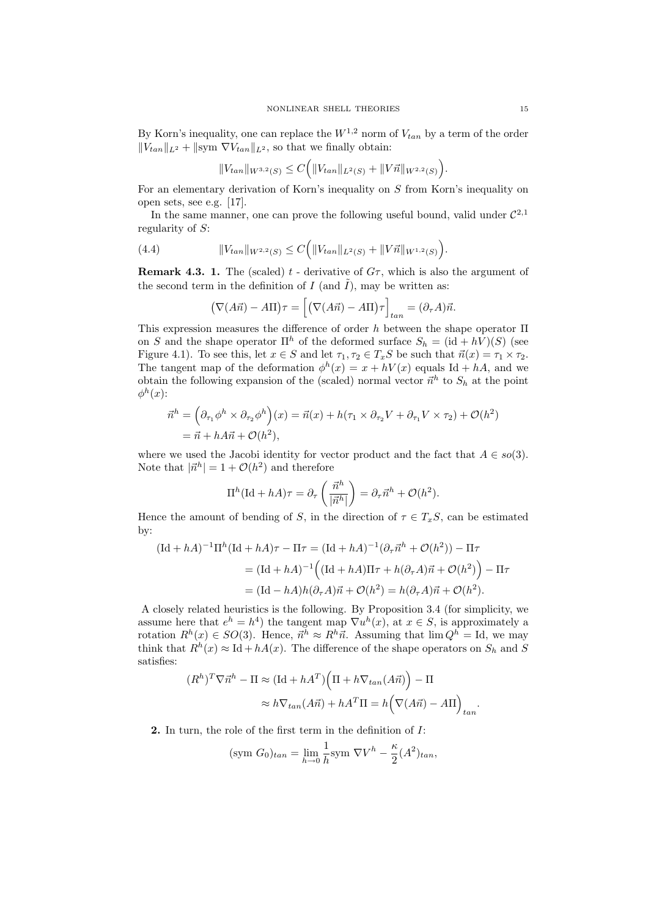By Korn's inequality, one can replace the  $W^{1,2}$  norm of  $V_{tan}$  by a term of the order  $||V_{tan}||_{L^2} + ||sym \nabla V_{tan}||_{L^2}$ , so that we finally obtain: ´

$$
||V_{tan}||_{W^{3,2}(S)} \leq C (||V_{tan}||_{L^2(S)} + ||V\vec{n}||_{W^{2,2}(S)}).
$$

For an elementary derivation of Korn's inequality on S from Korn's inequality on open sets, see e.g. [17].

In the same manner, one can prove the following useful bound, valid under  $\mathcal{C}^{2,1}$ regularity of S:  $\overline{a}$ ´

(4.4) 
$$
||V_{tan}||_{W^{2,2}(S)} \leq C (||V_{tan}||_{L^2(S)} + ||V\vec{n}||_{W^{1,2}(S)}).
$$

**Remark 4.3. 1.** The (scaled)  $t$  - derivative of  $G\tau$ , which is also the argument of the second term in the definition of I (and  $\tilde{I}$ ), may be written as:

$$
(\nabla(A\vec{n}) - A\Pi)\tau = [(\nabla(A\vec{n}) - A\Pi)\tau]_{tan} = (\partial_{\tau}A)\vec{n}.
$$

This expression measures the difference of order h between the shape operator  $\Pi$ on S and the shape operator  $\Pi^h$  of the deformed surface  $S_h = (\mathrm{id} + hV)(S)$  (see Figure 4.1). To see this, let  $x \in S$  and let  $\tau_1, \tau_2 \in T_xS$  be such that  $\vec{n}(x) = \tau_1 \times \tau_2$ . The tangent map of the deformation  $\phi^h(x) = x + hV(x)$  equals Id + hA, and we obtain the following expansion of the (scaled) normal vector  $\vec{n}^h$  to  $S_h$  at the point  $\phi^h(x)$ :

$$
\vec{n}^h = \left(\partial_{\tau_1}\phi^h \times \partial_{\tau_2}\phi^h\right)(x) = \vec{n}(x) + h(\tau_1 \times \partial_{\tau_2}V + \partial_{\tau_1}V \times \tau_2) + \mathcal{O}(h^2)
$$

$$
= \vec{n} + hA\vec{n} + \mathcal{O}(h^2),
$$

where we used the Jacobi identity for vector product and the fact that  $A \in so(3)$ . Note that  $|\vec{n}^h| = 1 + \mathcal{O}(h^2)$  and therefore

$$
\Pi^h(\mathrm{Id} + hA)\tau = \partial_\tau \left(\frac{\vec{n}^h}{|\vec{n}^h|}\right) = \partial_\tau \vec{n}^h + \mathcal{O}(h^2).
$$

Hence the amount of bending of S, in the direction of  $\tau \in T_xS$ , can be estimated by:

$$
(\text{Id} + hA)^{-1} \Pi^h (\text{Id} + hA) \tau - \Pi \tau = (\text{Id} + hA)^{-1} (\partial_\tau \vec{n}^h + \mathcal{O}(h^2)) - \Pi \tau
$$
  

$$
= (\text{Id} + hA)^{-1} ((\text{Id} + hA) \Pi \tau + h(\partial_\tau A) \vec{n} + \mathcal{O}(h^2)) - \Pi \tau
$$
  

$$
= (\text{Id} - hA)h(\partial_\tau A) \vec{n} + \mathcal{O}(h^2) = h(\partial_\tau A) \vec{n} + \mathcal{O}(h^2).
$$

A closely related heuristics is the following. By Proposition 3.4 (for simplicity, we assume here that  $e^h = h^4$ ) the tangent map  $\nabla u^h(x)$ , at  $x \in S$ , is approximately a rotation  $R^h(x) \in SO(3)$ . Hence,  $\vec{n}^h \approx R^h \vec{n}$ . Assuming that  $\lim Q^h = \text{Id}$ , we may think that  $R^h(x) \approx \text{Id} + hA(x)$ . The difference of the shape operators on  $S_h$  and S satisfies:  $\overline{a}$ ´

$$
(R^h)^T \nabla \vec{n}^h - \Pi \approx (\text{Id} + hA^T) \Big( \Pi + h \nabla_{tan}(A\vec{n}) \Big) - \Pi
$$

$$
\approx h \nabla_{tan}(A\vec{n}) + hA^T \Pi = h \Big( \nabla(A\vec{n}) - A\Pi \Big)_{tan}
$$

.

2. In turn, the role of the first term in the definition of I:

$$
(\text{sym } G_0)_{tan} = \lim_{h \to 0} \frac{1}{h} \text{sym } \nabla V^h - \frac{\kappa}{2} (A^2)_{tan},
$$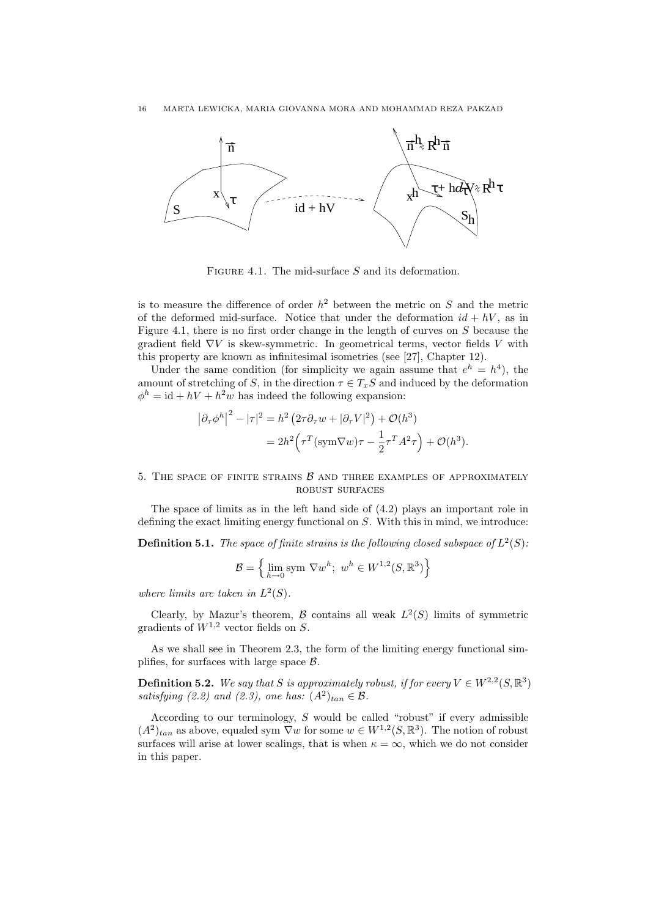

FIGURE 4.1. The mid-surface S and its deformation.

is to measure the difference of order  $h^2$  between the metric on S and the metric of the deformed mid-surface. Notice that under the deformation  $id + hV$ , as in Figure 4.1, there is no first order change in the length of curves on  $S$  because the gradient field  $\nabla V$  is skew-symmetric. In geometrical terms, vector fields V with this property are known as infinitesimal isometries (see [27], Chapter 12).

Under the same condition (for simplicity we again assume that  $e^h = h^4$ ), the amount of stretching of S, in the direction  $\tau \in T_xS$  and induced by the deformation  $\phi^h = id + hV + h^2w$  has indeed the following expansion:

$$
|\partial_{\tau}\phi^h|^2 - |\tau|^2 = h^2 \left(2\tau \partial_{\tau} w + |\partial_{\tau} V|^2\right) + \mathcal{O}(h^3)
$$
  
=  $2h^2 \left(\tau^T (\text{sym} \nabla w)\tau - \frac{1}{2}\tau^T A^2 \tau\right) + \mathcal{O}(h^3).$ 

## 5. THE SPACE OF FINITE STRAINS  $\beta$  and three examples of approximately robust surfaces

The space of limits as in the left hand side of (4.2) plays an important role in defining the exact limiting energy functional on S. With this in mind, we introduce:

**Definition 5.1.** The space of finite strains is the following closed subspace of  $L^2(S)$ :

$$
\mathcal{B} = \left\{ \lim_{h \to 0} \text{sym } \nabla w^h; \ w^h \in W^{1,2}(S, \mathbb{R}^3) \right\}
$$

where limits are taken in  $L^2(S)$ .

Clearly, by Mazur's theorem,  $\mathcal B$  contains all weak  $L^2(S)$  limits of symmetric gradients of  $W^{1,2}$  vector fields on S.

As we shall see in Theorem 2.3, the form of the limiting energy functional simplifies, for surfaces with large space B.

**Definition 5.2.** We say that S is approximately robust, if for every  $V \in W^{2,2}(S,\mathbb{R}^3)$ satisfying (2.2) and (2.3), one has:  $(A^2)_{tan} \in \mathcal{B}$ .

According to our terminology,  $S$  would be called "robust" if every admissible  $(A^2)_{tan}$  as above, equaled sym  $\nabla w$  for some  $w \in W^{1,2}(S, \mathbb{R}^3)$ . The notion of robust surfaces will arise at lower scalings, that is when  $\kappa = \infty$ , which we do not consider in this paper.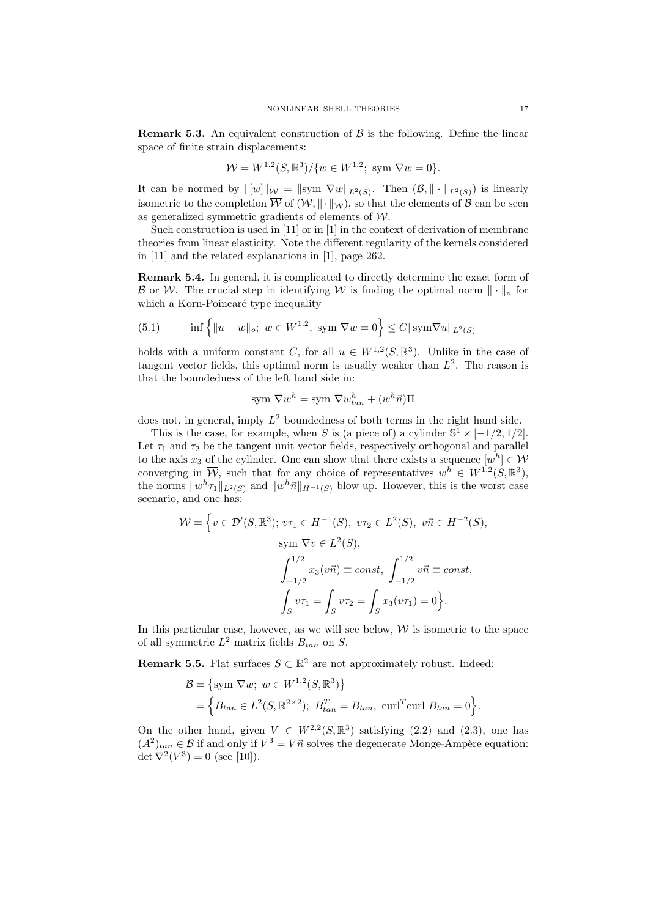**Remark 5.3.** An equivalent construction of  $\beta$  is the following. Define the linear space of finite strain displacements:

$$
W = W^{1,2}(S, \mathbb{R}^3) / \{w \in W^{1,2}; \text{ sym } \nabla w = 0\}.
$$

It can be normed by  $\|[w]\|_{\mathcal{W}} = \|\text{sym }\nabla w\|_{L^2(S)}$ . Then  $(\mathcal{B}, \|\cdot\|_{L^2(S)})$  is linearly isometric to the completion  $\overline{W}$  of  $(W, \|\cdot\|_{W})$ , so that the elements of  $\mathcal{B}$  can be seen as generalized symmetric gradients of elements of  $\overline{\mathcal{W}}$ .

Such construction is used in [11] or in [1] in the context of derivation of membrane theories from linear elasticity. Note the different regularity of the kernels considered in [11] and the related explanations in [1], page 262.

Remark 5.4. In general, it is complicated to directly determine the exact form of B or  $\overline{W}$ . The crucial step in identifying  $\overline{W}$  is finding the optimal norm  $\|\cdot\|_o$  for which a Korn-Poincaré type inequality

(5.1) 
$$
\inf \left\{ \|u - w\|_o; \ w \in W^{1,2}, \text{ sym } \nabla w = 0 \right\} \le C \| \text{sym} \nabla u \|_{L^2(S)}
$$

holds with a uniform constant C, for all  $u \in W^{1,2}(S,\mathbb{R}^3)$ . Unlike in the case of tangent vector fields, this optimal norm is usually weaker than  $L^2$ . The reason is that the boundedness of the left hand side in:

sym 
$$
\nabla w^h
$$
 = sym  $\nabla w^h_{tan} + (w^h \vec{n})\Pi$ 

does not, in general, imply  $L^2$  boundedness of both terms in the right hand side.

This is the case, for example, when S is (a piece of) a cylinder  $\mathbb{S}^1 \times [-1/2, 1/2]$ . Let  $\tau_1$  and  $\tau_2$  be the tangent unit vector fields, respectively orthogonal and parallel to the axis  $x_3$  of the cylinder. One can show that there exists a sequence  $[w^h] \in W$ converging in  $\overline{\mathcal{W}}$ , such that for any choice of representatives  $w^h \in W^{1,2}(S,\mathbb{R}^3)$ , the norms  $||w^h\tau_1||_{L^2(S)}$  and  $||w^h\vec{n}||_{H^{-1}(S)}$  blow up. However, this is the worst case scenario, and one has:

$$
\overline{\mathcal{W}} = \left\{ v \in \mathcal{D}'(S, \mathbb{R}^3); v\tau_1 \in H^{-1}(S), v\tau_2 \in L^2(S), v\vec{n} \in H^{-2}(S), \text{sym } \nabla v \in L^2(S), \right\}
$$

$$
\int_{-1/2}^{1/2} x_3(v\vec{n}) \equiv const, \int_{-1/2}^{1/2} v\vec{n} \equiv const,
$$

$$
\int_S v\tau_1 = \int_S v\tau_2 = \int_S x_3(v\tau_1) = 0 \right\}.
$$

In this particular case, however, as we will see below,  $\overline{\mathcal{W}}$  is isometric to the space of all symmetric  $L^2$  matrix fields  $B_{tan}$  on S.

**Remark 5.5.** Flat surfaces  $S \subset \mathbb{R}^2$  are not approximately robust. Indeed:

$$
\mathcal{B} = \{ \text{sym } \nabla w; \ w \in W^{1,2}(S, \mathbb{R}^3) \}
$$
  
= 
$$
\{ B_{tan} \in L^2(S, \mathbb{R}^{2 \times 2}); \ B_{tan}^T = B_{tan}, \ \text{curl}^T \text{curl } B_{tan} = 0 \}.
$$

On the other hand, given  $V \in W^{2,2}(S,\mathbb{R}^3)$  satisfying  $(2.2)$  and  $(2.3)$ , one has  $(A^2)_{tan} \in \mathcal{B}$  if and only if  $V^3 = V \vec{n}$  solves the degenerate Monge-Ampère equation: det  $\nabla^2(V^3) = 0$  (see [10]).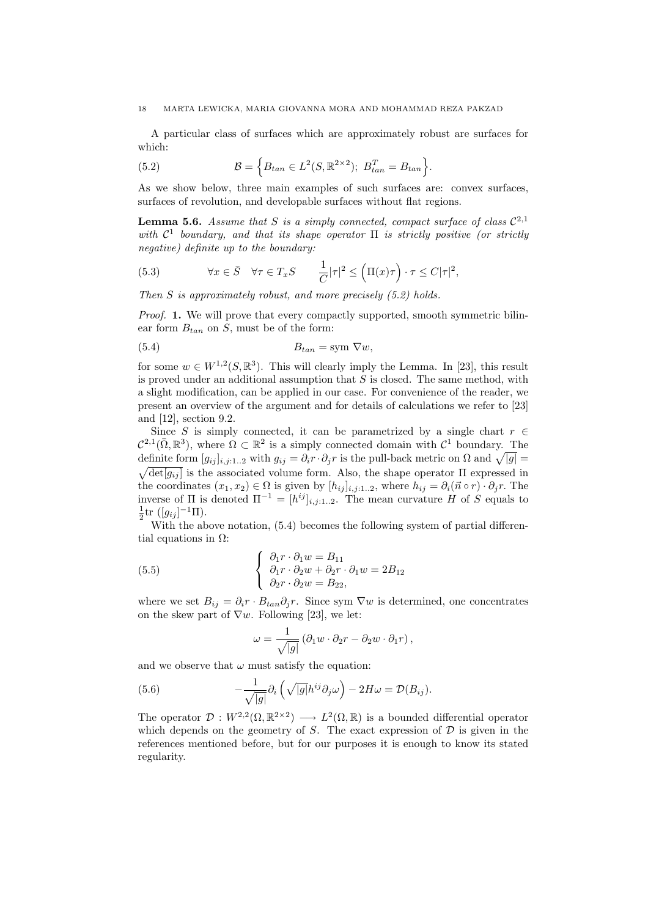A particular class of surfaces which are approximately robust are surfaces for which:

(5.2) 
$$
\mathcal{B} = \left\{ B_{tan} \in L^{2}(S, \mathbb{R}^{2 \times 2}); \ B_{tan}^{T} = B_{tan} \right\}.
$$

As we show below, three main examples of such surfaces are: convex surfaces, surfaces of revolution, and developable surfaces without flat regions.

**Lemma 5.6.** Assume that S is a simply connected, compact surface of class  $\mathcal{C}^{2,1}$ with  $\mathcal{C}^1$  boundary, and that its shape operator  $\Pi$  is strictly positive (or strictly negative) definite up to the boundary:

(5.3) 
$$
\forall x \in \overline{S} \quad \forall \tau \in T_x S \qquad \frac{1}{C} |\tau|^2 \leq (\Pi(x)\tau) \cdot \tau \leq C |\tau|^2,
$$

Then S is approximately robust, and more precisely (5.2) holds.

Proof. 1. We will prove that every compactly supported, smooth symmetric bilinear form  $B_{tan}$  on S, must be of the form:

$$
(5.4) \t\t B_{tan} = \text{sym } \nabla w,
$$

for some  $w \in W^{1,2}(S,\mathbb{R}^3)$ . This will clearly imply the Lemma. In [23], this result is proved under an additional assumption that  $S$  is closed. The same method, with a slight modification, can be applied in our case. For convenience of the reader, we present an overview of the argument and for details of calculations we refer to [23] and [12], section 9.2.

Since S is simply connected, it can be parametrized by a single chart  $r \in$  $\mathcal{C}^{2,1}(\bar{\Omega},\mathbb{R}^3)$ , where  $\Omega \subset \mathbb{R}^2$  is a simply connected domain with  $\mathcal{C}^1$  boundary. The definite form  $[g_{ij}]_{i,j:1..2}$  with  $g_{ij} = \partial_i r \cdot \partial_j r$  is the pull-back metric on  $\Omega$  and  $\sqrt{|g|} =$  $\sqrt{\det(q_{ij})}$  is the associated volume form. Also, the shape operator  $\Pi$  expressed in the coordinates  $(x_1, x_2) \in \Omega$  is given by  $[h_{ij}]_{i,j:1..2}$ , where  $h_{ij} = \partial_i(\vec{n} \circ r) \cdot \partial_j r$ . The inverse of  $\Pi$  is denoted  $\Pi^{-1} = [h^{ij}]_{i,j:1...2}$ . The mean curvature H of S equals to  $\frac{1}{2}$ tr ([ $g_{ij}$ ]<sup>-1</sup> $\Pi$ ).

With the above notation,  $(5.4)$  becomes the following system of partial differential equations in  $\Omega$ :  $\overline{a}$ 

(5.5) 
$$
\begin{cases} \partial_1 r \cdot \partial_1 w = B_{11} \\ \partial_1 r \cdot \partial_2 w + \partial_2 r \cdot \partial_1 w = 2B_{12} \\ \partial_2 r \cdot \partial_2 w = B_{22}, \end{cases}
$$

where we set  $B_{ij} = \partial_i r \cdot B_{tan} \partial_j r$ . Since sym  $\nabla w$  is determined, one concentrates on the skew part of  $\nabla w$ . Following [23], we let:

$$
\omega = \frac{1}{\sqrt{|g|}} (\partial_1 w \cdot \partial_2 r - \partial_2 w \cdot \partial_1 r),
$$

and we observe that  $\omega$  must satisfy the equation:

(5.6) 
$$
-\frac{1}{\sqrt{|g|}}\partial_i\left(\sqrt{|g|}h^{ij}\partial_j\omega\right) - 2H\omega = \mathcal{D}(B_{ij}).
$$

The operator  $\mathcal{D}: W^{2,2}(\Omega,\mathbb{R}^{2\times2}) \longrightarrow L^2(\Omega,\mathbb{R})$  is a bounded differential operator which depends on the geometry of S. The exact expression of  $D$  is given in the references mentioned before, but for our purposes it is enough to know its stated regularity.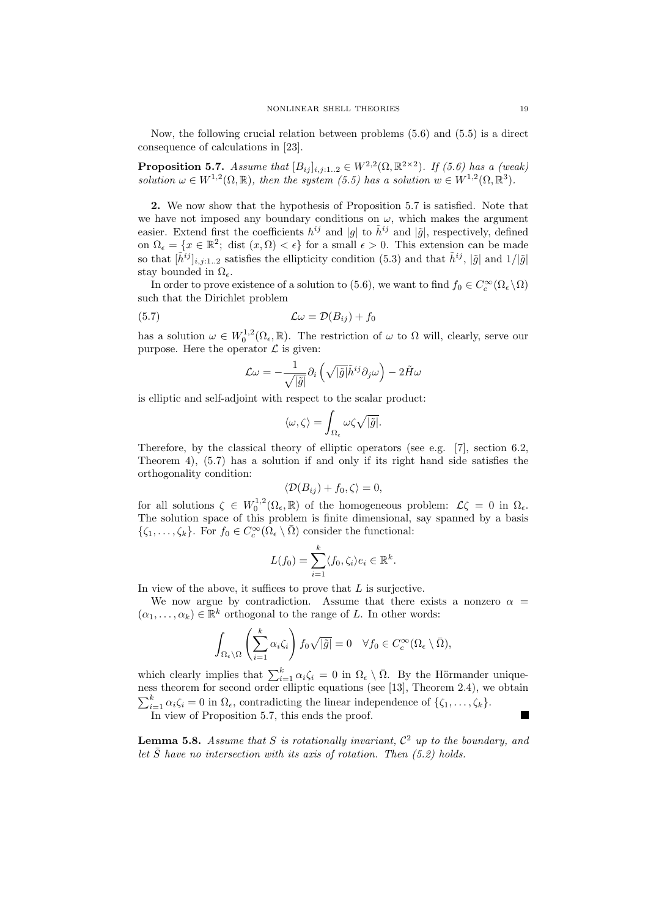Now, the following crucial relation between problems (5.6) and (5.5) is a direct consequence of calculations in [23].

**Proposition 5.7.** Assume that  $[B_{ij}]_{i,j:1..2} \in W^{2,2}(\Omega,\mathbb{R}^{2\times2})$ . If (5.6) has a (weak) solution  $\omega \in W^{1,2}(\Omega,\mathbb{R})$ , then the system (5.5) has a solution  $w \in W^{1,2}(\Omega,\mathbb{R}^3)$ .

2. We now show that the hypothesis of Proposition 5.7 is satisfied. Note that we have not imposed any boundary conditions on  $\omega$ , which makes the argument easier. Extend first the coefficients  $h^{ij}$  and |g| to  $\tilde{h}^{ij}$  and |g|, respectively, defined on  $\Omega_{\epsilon} = \{x \in \mathbb{R}^2; \text{ dist } (x, \Omega) < \epsilon\}$  for a small  $\epsilon > 0$ . This extension can be made so that  $[\tilde{h}^{ij}]_{i,j:1...2}$  satisfies the ellipticity condition (5.3) and that  $\tilde{h}^{ij}$ ,  $|\tilde{g}|$  and  $1/|\tilde{g}|$ stay bounded in  $\Omega_{\epsilon}$ .

In order to prove existence of a solution to (5.6), we want to find  $f_0 \in C_c^{\infty}(\Omega_{\epsilon} \setminus \Omega)$ such that the Dirichlet problem

$$
(5.7) \t\t\t \mathcal{L}\omega = \mathcal{D}(B_{ij}) + f_0
$$

has a solution  $\omega \in W_0^{1,2}(\Omega_\epsilon, \mathbb{R})$ . The restriction of  $\omega$  to  $\Omega$  will, clearly, serve our purpose. Here the operator  $\mathcal L$  is given:

$$
\mathcal{L}\omega=-\frac{1}{\sqrt{|\tilde{g}|}}\partial_i\left(\sqrt{|\tilde{g}|}\tilde{h}^{ij}\partial_j\omega\right)-2\tilde{H}\omega
$$

is elliptic and self-adjoint with respect to the scalar product:

$$
\langle \omega, \zeta \rangle = \int_{\Omega_{\epsilon}} \omega \zeta \sqrt{|\tilde{g}|}.
$$

Therefore, by the classical theory of elliptic operators (see e.g. [7], section 6.2, Theorem 4), (5.7) has a solution if and only if its right hand side satisfies the orthogonality condition:

$$
\langle \mathcal{D}(B_{ij}) + f_0, \zeta \rangle = 0,
$$

for all solutions  $\zeta \in W_0^{1,2}(\Omega_\epsilon, \mathbb{R})$  of the homogeneous problem:  $\mathcal{L}\zeta = 0$  in  $\Omega_\epsilon$ . The solution space of this problem is finite dimensional, say spanned by a basis  $\{\zeta_1,\ldots,\zeta_k\}$ . For  $f_0 \in C_c^{\infty}(\Omega_{\epsilon} \setminus \overline{\Omega})$  consider the functional:

$$
L(f_0) = \sum_{i=1}^k \langle f_0, \zeta_i \rangle e_i \in \mathbb{R}^k.
$$

In view of the above, it suffices to prove that  $L$  is surjective.

We now argue by contradiction. Assume that there exists a nonzero  $\alpha =$  $(\alpha_1, \ldots, \alpha_k) \in \mathbb{R}^k$  orthogonal to the range of L. In other words:

$$
\int_{\Omega_{\epsilon}\setminus\Omega} \left(\sum_{i=1}^{k} \alpha_{i} \zeta_{i}\right) f_{0} \sqrt{|\tilde{g}|} = 0 \quad \forall f_{0} \in C_{c}^{\infty}(\Omega_{\epsilon}\setminus\bar{\Omega}),
$$

which clearly implies that  $\sum_{i=1}^{k} \alpha_i \zeta_i = 0$  in  $\Omega_{\epsilon} \setminus \overline{\Omega}$ . By the Hörmander uniqueness theorem for second order elliptic equations (see [13], Theorem 2.4), we obtain  $\sum_{i=1}^{k} \alpha_i \zeta_i = 0$  in  $\Omega_{\epsilon}$ , contradicting the linear independence of  $\{\zeta_1, \ldots, \zeta_k\}$ .

In view of Proposition 5.7, this ends the proof.

**Lemma 5.8.** Assume that S is rotationally invariant,  $\mathcal{C}^2$  up to the boundary, and let  $\bar{S}$  have no intersection with its axis of rotation. Then (5.2) holds.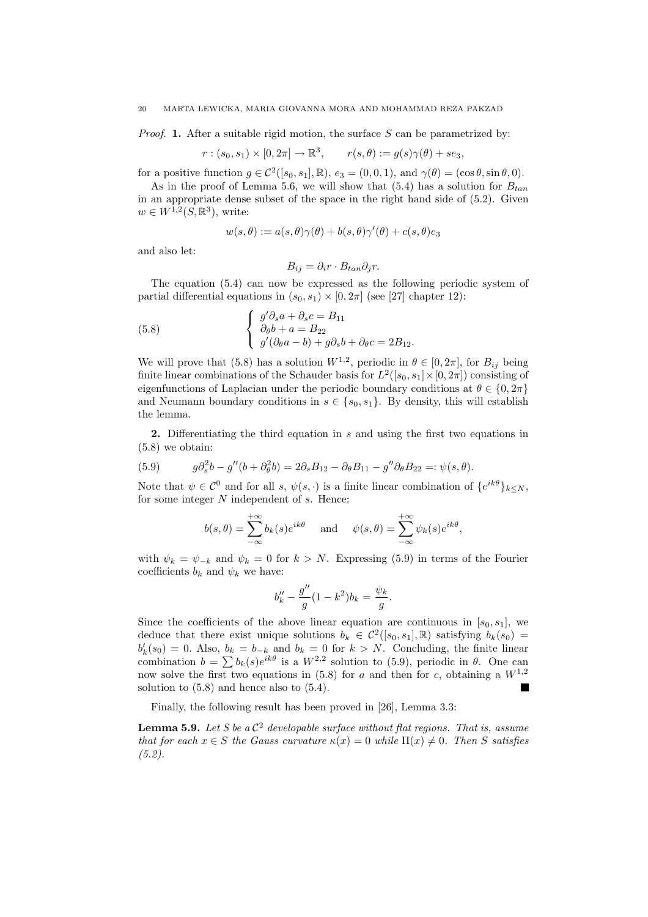*Proof.* 1. After a suitable rigid motion, the surface S can be parametrized by:

$$
r:(s_0,s_1)\times[0,2\pi]\to\mathbb{R}^3, \qquad r(s,\theta):=g(s)\gamma(\theta)+se_3,
$$

for a positive function  $g \in C^2([s_0, s_1], \mathbb{R})$ ,  $e_3 = (0, 0, 1)$ , and  $\gamma(\theta) = (\cos \theta, \sin \theta, 0)$ .

As in the proof of Lemma 5.6, we will show that (5.4) has a solution for  $B_{tan}$ in an appropriate dense subset of the space in the right hand side of (5.2). Given  $w \in W^{1,2}(S,\mathbb{R}^3)$ , write:

$$
w(s,\theta) := a(s,\theta)\gamma(\theta) + b(s,\theta)\gamma'(\theta) + c(s,\theta)e_3
$$

and also let:

$$
B_{ij} = \partial_i r \cdot B_{tan} \partial_j r.
$$

The equation (5.4) can now be expressed as the following periodic system of partial differential equations in  $(s_0, s_1) \times [0, 2\pi]$  (see [27] chapter 12):

(5.8) 
$$
\begin{cases} g' \partial_s a + \partial_s c = B_{11} \\ \partial_{\theta} b + a = B_{22} \\ g' (\partial_{\theta} a - b) + g \partial_s b + \partial_{\theta} c = 2B_{12}. \end{cases}
$$

We will prove that (5.8) has a solution  $W^{1,2}$ , periodic in  $\theta \in [0, 2\pi]$ , for  $B_{ij}$  being finite linear combinations of the Schauder basis for  $L^2([s_0, s_1] \times [0, 2\pi])$  consisting of eigenfunctions of Laplacian under the periodic boundary conditions at  $\theta \in \{0, 2\pi\}$ and Neumann boundary conditions in  $s \in \{s_0, s_1\}$ . By density, this will establish the lemma.

2. Differentiating the third equation in s and using the first two equations in (5.8) we obtain:

(5.9) 
$$
g\partial_s^2 b - g''(b + \partial_\theta^2 b) = 2\partial_s B_{12} - \partial_\theta B_{11} - g''\partial_\theta B_{22} =: \psi(s, \theta).
$$

Note that  $\psi \in \mathcal{C}^0$  and for all s,  $\psi(s, \cdot)$  is a finite linear combination of  $\{e^{ik\theta}\}_{k \leq N}$ , for some integer  $N$  independent of  $s$ . Hence:

$$
b(s,\theta) = \sum_{-\infty}^{+\infty} b_k(s)e^{ik\theta}
$$
 and  $\psi(s,\theta) = \sum_{-\infty}^{+\infty} \psi_k(s)e^{ik\theta}$ ,

with  $\psi_k = \psi_{-k}$  and  $\psi_k = 0$  for  $k > N$ . Expressing (5.9) in terms of the Fourier coefficients  $b_k$  and  $\psi_k$  we have:

$$
b_k'' - \frac{g''}{g}(1 - k^2)b_k = \frac{\psi_k}{g}.
$$

Since the coefficients of the above linear equation are continuous in  $[s_0, s_1]$ , we deduce that there exist unique solutions  $b_k \in C^2([s_0, s_1], \mathbb{R})$  satisfying  $b_k(s_0)$  =  $b'_k(s_0) = 0$ . Also,  $b_k = b_{-k}$  and  $b_k = 0$  for  $k > N$ . Concluding, the finite linear  $\omega_k(s_0) = 0$ . Also,  $\omega_k = \omega_{-k}$  and  $\omega_k = 0$  for  $\kappa > N$ . Concluding, the limite linear combination  $b = \sum b_k(s)e^{ik\theta}$  is a  $W^{2,2}$  solution to (5.9), periodic in  $\theta$ . One can now solve the first two equations in (5.8) for a and then for c, obtaining a  $W^{1,2}$ solution to  $(5.8)$  and hence also to  $(5.4)$ .

Finally, the following result has been proved in [26], Lemma 3.3:

**Lemma 5.9.** Let S be a  $\mathcal{C}^2$  developable surface without flat regions. That is, assume that for each  $x \in S$  the Gauss curvature  $\kappa(x) = 0$  while  $\Pi(x) \neq 0$ . Then S satisfies  $(5.2).$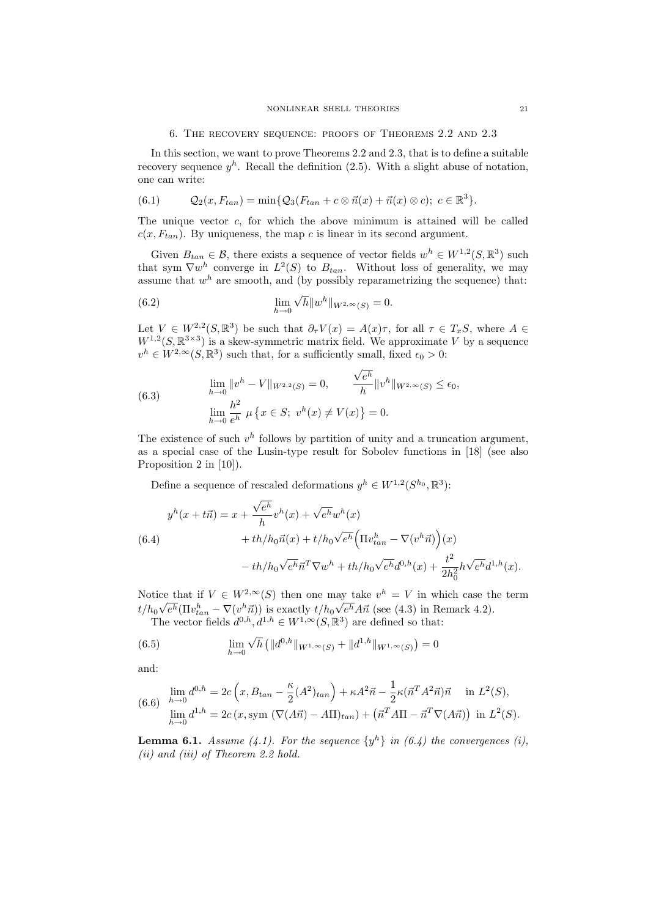In this section, we want to prove Theorems 2.2 and 2.3, that is to define a suitable recovery sequence  $y^h$ . Recall the definition (2.5). With a slight abuse of notation, one can write:

(6.1) 
$$
Q_2(x, F_{tan}) = \min \{ Q_3(F_{tan} + c \otimes \vec{n}(x) + \vec{n}(x) \otimes c); c \in \mathbb{R}^3 \}.
$$

The unique vector  $c$ , for which the above minimum is attained will be called  $c(x, F_{tan})$ . By uniqueness, the map c is linear in its second argument.

Given  $B_{tan} \in \mathcal{B}$ , there exists a sequence of vector fields  $w^h \in W^{1,2}(S,\mathbb{R}^3)$  such that sym  $\nabla w^h$  converge in  $L^2(S)$  to  $B_{tan}$ . Without loss of generality, we may assume that  $w<sup>h</sup>$  are smooth, and (by possibly reparametrizing the sequence) that:

(6.2) 
$$
\lim_{h \to 0} \sqrt{h} \|w^h\|_{W^{2,\infty}(S)} = 0.
$$

Let  $V \in W^{2,2}(S,\mathbb{R}^3)$  be such that  $\partial_{\tau}V(x) = A(x)\tau$ , for all  $\tau \in T_xS$ , where  $A \in$  $W^{1,2}(S,\mathbb{R}^{3\times3})$  is a skew-symmetric matrix field. We approximate V by a sequence  $v^h \in W^{2,\infty}(S,\mathbb{R}^3)$  such that, for a sufficiently small, fixed  $\epsilon_0 > 0$ :

(6.3) 
$$
\lim_{h \to 0} ||v^h - V||_{W^{2,2}(S)} = 0, \qquad \frac{\sqrt{e^h}}{h} ||v^h||_{W^{2,\infty}(S)} \le \epsilon_0,
$$

$$
\lim_{h \to 0} \frac{h^2}{e^h} \mu \{x \in S; \ v^h(x) \ne V(x)\} = 0.
$$

The existence of such  $v^h$  follows by partition of unity and a truncation argument, as a special case of the Lusin-type result for Sobolev functions in [18] (see also Proposition 2 in [10]).

Define a sequence of rescaled deformations  $y^h \in W^{1,2}(S^{h_0}, \mathbb{R}^3)$ :

(6.4)  
\n
$$
y^{h}(x + t\vec{n}) = x + \frac{\sqrt{e^{h}}}{h}v^{h}(x) + \sqrt{e^{h}}w^{h}(x) + th/h_{0}\vec{n}(x) + th/h_{0}\vec{n}(x) + t/h_{0}\sqrt{e^{h}}\left(\Pi v_{tan}^{h} - \nabla(v^{h}\vec{n})\right)(x) - th/h_{0}\sqrt{e^{h}}\vec{n}^{T}\nabla w^{h} + th/h_{0}\sqrt{e^{h}}d^{0,h}(x) + \frac{t^{2}}{2h_{0}^{2}}h\sqrt{e^{h}}d^{1,h}(x).
$$

Notice that if  $V \in W^{2,\infty}(S)$  then one may take  $v^h = V$  in which case the term  $t/h_0\sqrt{e^h}(\Pi v_{tan}^h - \nabla(v^h\vec{n}))$  is exactly  $t/h_0\sqrt{e^h}A\vec{n}$  (see (4.3) in Remark 4.2).

The vector fields  $d^{0,h}, d^{1,h} \in W^{1,\infty}(S, \mathbb{R}^3)$  are defined so that:

(6.5) 
$$
\lim_{h \to 0} \sqrt{h} \left( \|d^{0,h}\|_{W^{1,\infty}(S)} + \|d^{1,h}\|_{W^{1,\infty}(S)} \right) = 0
$$

and:

$$
\lim_{h \to 0} d^{0,h} = 2c \left( x, B_{tan} - \frac{\kappa}{2} (A^2)_{tan} \right) + \kappa A^2 \vec{n} - \frac{1}{2} \kappa (\vec{n}^T A^2 \vec{n}) \vec{n} \quad \text{in } L^2(S),
$$
  
\n
$$
\lim_{h \to 0} d^{1,h} = 2c \left( x, \text{sym } (\nabla (A\vec{n}) - A\Pi)_{tan} \right) + \left( \vec{n}^T A \Pi - \vec{n}^T \nabla (A\vec{n}) \right) \text{ in } L^2(S).
$$

**Lemma 6.1.** Assume (4.1). For the sequence  $\{y^h\}$  in (6.4) the convergences (i), (ii) and (iii) of Theorem 2.2 hold.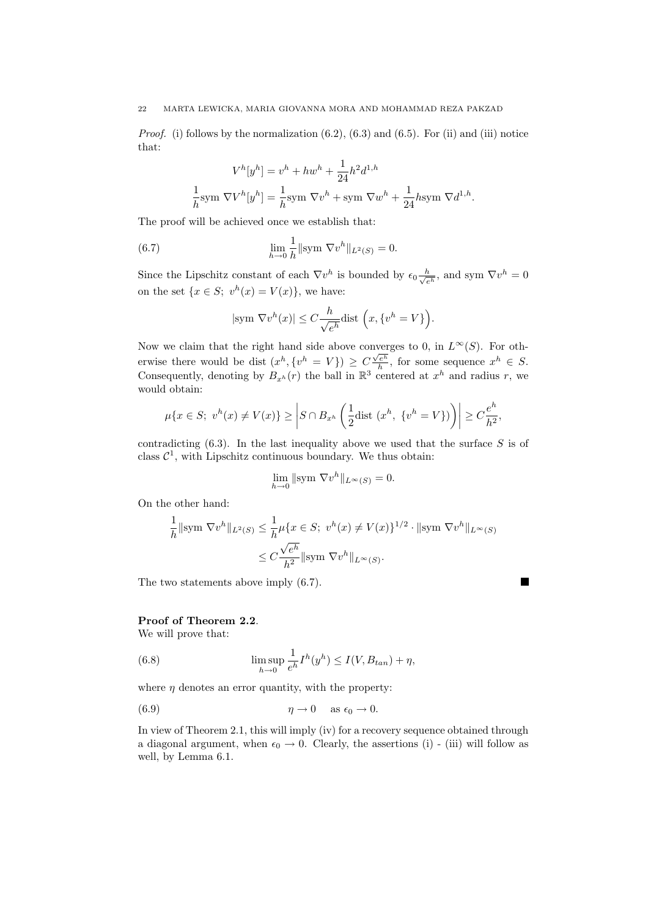*Proof.* (i) follows by the normalization  $(6.2)$ ,  $(6.3)$  and  $(6.5)$ . For (ii) and (iii) notice that:

$$
V^h[y^h] = v^h + hw^h + \frac{1}{24}h^2d^{1,h}
$$

$$
\frac{1}{h}\text{sym }\nabla V^h[y^h] = \frac{1}{h}\text{sym }\nabla v^h + \text{sym }\nabla w^h + \frac{1}{24}h\text{sym }\nabla d^{1,h}.
$$

The proof will be achieved once we establish that:

(6.7) 
$$
\lim_{h \to 0} \frac{1}{h} || \text{sym } \nabla v^h ||_{L^2(S)} = 0.
$$

Since the Lipschitz constant of each  $\nabla v^h$  is bounded by  $\epsilon_0 \frac{h}{\sqrt{h}}$  $\frac{h}{e^h}$ , and sym  $\nabla v^h = 0$ on the set  $\{x \in S; v^h(x) = V(x)\}\)$ , we have:

$$
|\text{sym }\nabla v^h(x)| \leq C \frac{h}{\sqrt{e^h}} \text{dist }\Big(x, \{v^h = V\}\Big).
$$

Now we claim that the right hand side above converges to 0, in  $L^{\infty}(S)$ . For otherwise there would be dist  $(x^h, \{v^h = V\}) \ge C \frac{\sqrt{e^h}}{h}$ , for some sequence  $x^h \in S$ . Consequently, denoting by  $B_{x^h}(r)$  the ball in  $\mathbb{R}^3$  centered at  $x^h$  and radius r, we would obtain:

$$
\mu\{x \in S; \ v^h(x) \neq V(x)\} \ge \left|S \cap B_{x^h}\left(\frac{1}{2}\text{dist }(x^h, \ \{v^h = V\})\right)\right| \ge C\frac{e^h}{h^2},
$$

contradicting  $(6.3)$ . In the last inequality above we used that the surface S is of class  $C^1$ , with Lipschitz continuous boundary. We thus obtain:

$$
\lim_{h \to 0} \|\text{sym } \nabla v^h\|_{L^{\infty}(S)} = 0.
$$

On the other hand:

$$
\frac{1}{h} \|\text{sym }\nabla v^h\|_{L^2(S)} \le \frac{1}{h} \mu\{x \in S; \ v^h(x) \ne V(x)\}^{1/2} \cdot \|\text{sym }\nabla v^h\|_{L^\infty(S)}
$$

$$
\le C \frac{\sqrt{e^h}}{h^2} \|\text{sym }\nabla v^h\|_{L^\infty(S)}.
$$

 $\blacksquare$ 

The two statements above imply (6.7).

## Proof of Theorem 2.2.

We will prove that:

(6.8) 
$$
\limsup_{h \to 0} \frac{1}{e^h} I^h(y^h) \le I(V, B_{tan}) + \eta,
$$

where  $\eta$  denotes an error quantity, with the property:

(6.9) 
$$
\eta \to 0 \quad \text{as } \epsilon_0 \to 0.
$$

In view of Theorem 2.1, this will imply (iv) for a recovery sequence obtained through a diagonal argument, when  $\epsilon_0 \rightarrow 0$ . Clearly, the assertions (i) - (iii) will follow as well, by Lemma 6.1.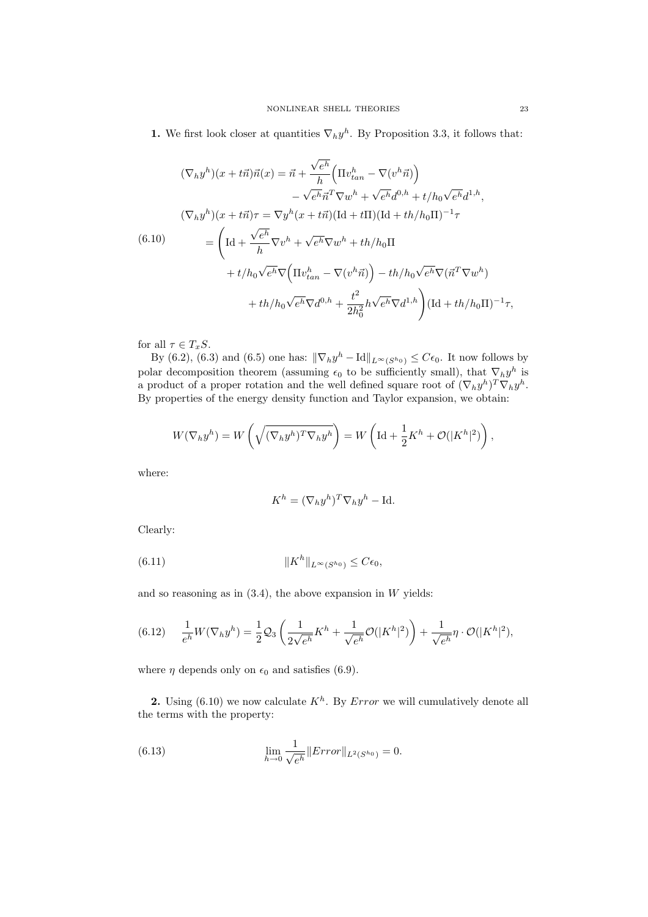**1.** We first look closer at quantities  $\nabla_h y^h$ . By Proposition 3.3, it follows that:

$$
(\nabla_h y^h)(x+t\vec{n})\vec{n}(x) = \vec{n} + \frac{\sqrt{e^h}}{h} \Big( \Pi v_{tan}^h - \nabla(v^h \vec{n}) \Big)
$$

$$
- \sqrt{e^h} \vec{n}^T \nabla w^h + \sqrt{e^h} d^{0,h} + t/h_0 \sqrt{e^h} d^{1,h},
$$

$$
(\nabla_h y^h)(x+t\vec{n})\tau = \nabla y^h(x+t\vec{n}) (\text{Id}+t\Pi) (\text{Id}+th/h_0\Pi)^{-1}\tau
$$

$$
= \left( \text{Id} + \frac{\sqrt{e^h}}{h} \nabla v^h + \sqrt{e^h} \nabla w^h + th/h_0\Pi
$$

$$
+ t/h_0 \sqrt{e^h} \nabla \Big( \Pi v_{tan}^h - \nabla(v^h \vec{n}) \Big) - th/h_0 \sqrt{e^h} \nabla (\vec{n}^T \nabla w^h)
$$

$$
+ th/h_0 \sqrt{e^h} \nabla d^{0,h} + \frac{t^2}{2h_0^2} h \sqrt{e^h} \nabla d^{1,h} \Big) (\text{Id}+th/h_0\Pi)^{-1}\tau,
$$

for all  $\tau \in T_xS$ .

By (6.2), (6.3) and (6.5) one has:  $\|\nabla_h y^h - \text{Id}\|_{L^\infty(S^{h_0})} \leq C\epsilon_0$ . It now follows by polar decomposition theorem (assuming  $\epsilon_0$  to be sufficiently small), that  $\nabla_h y^h$  is a product of a proper rotation and the well defined square root of  $(\nabla_h y^h)^T \nabla_h y^h$ . By properties of the energy density function and Taylor expansion, we obtain:

$$
W(\nabla_h y^h) = W\left(\sqrt{(\nabla_h y^h)^T \nabla_h y^h}\right) = W\left(\mathrm{Id} + \frac{1}{2}K^h + \mathcal{O}(|K^h|^2)\right),
$$

where:

$$
K^h = (\nabla_h y^h)^T \nabla_h y^h - \text{Id}.
$$

Clearly:

(6.11) 
$$
||K^h||_{L^{\infty}(S^{h_0})} \leq C\epsilon_0,
$$

and so reasoning as in  $(3.4)$ , the above expansion in W yields:

(6.12) 
$$
\frac{1}{e^h}W(\nabla_h y^h) = \frac{1}{2}\mathcal{Q}_3\left(\frac{1}{2\sqrt{e^h}}K^h + \frac{1}{\sqrt{e^h}}\mathcal{O}(|K^h|^2)\right) + \frac{1}{\sqrt{e^h}}\eta \cdot \mathcal{O}(|K^h|^2),
$$

where  $\eta$  depends only on  $\epsilon_0$  and satisfies (6.9).

2. Using  $(6.10)$  we now calculate  $K<sup>h</sup>$ . By *Error* we will cumulatively denote all the terms with the property:

(6.13) 
$$
\lim_{h \to 0} \frac{1}{\sqrt{e^h}} ||Error||_{L^2(S^{h_0})} = 0.
$$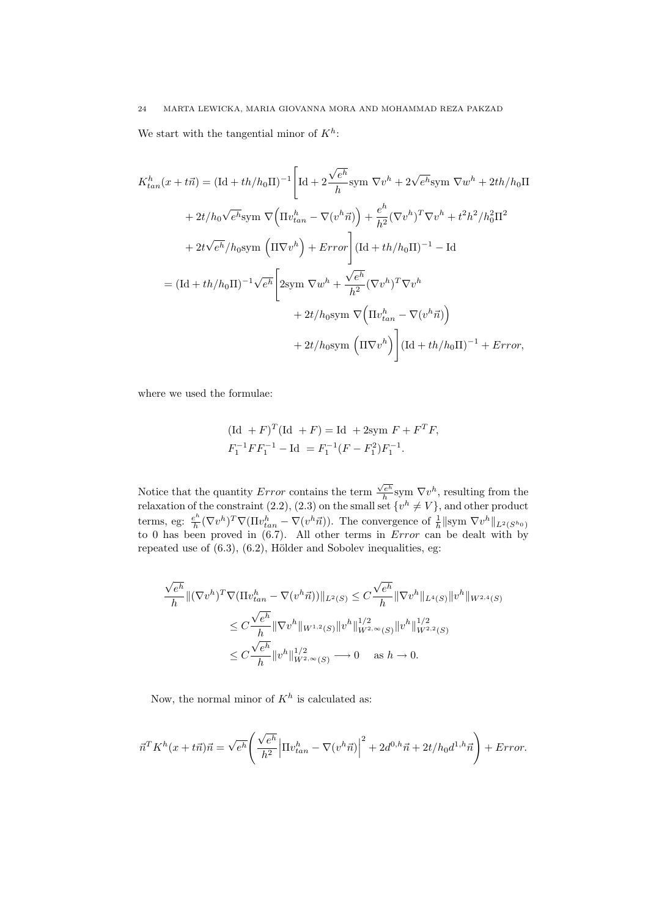We start with the tangential minor of  $K^h$ :

$$
K_{tan}^h(x + t\vec{n}) = (\text{Id} + th/h_0 \text{II})^{-1} \left[ \text{Id} + 2\frac{\sqrt{e^h}}{h} \text{sym } \nabla v^h + 2\sqrt{e^h} \text{sym } \nabla w^h + 2th/h_0 \text{II} \right]
$$
  
+  $2t/h_0\sqrt{e^h} \text{sym } \nabla \left( \Pi v_{tan}^h - \nabla (v^h \vec{n}) \right) + \frac{e^h}{h^2} (\nabla v^h)^T \nabla v^h + t^2 h^2/h_0^2 \Pi^2$   
+  $2t\sqrt{e^h}/h_0 \text{sym } \left( \Pi \nabla v^h \right) + Error \left[ (\text{Id} + th/h_0 \text{II})^{-1} - \text{Id} \right]$   
=  $(\text{Id} + th/h_0 \text{II})^{-1} \sqrt{e^h} \left[ 2\text{sym } \nabla w^h + \frac{\sqrt{e^h}}{h^2} (\nabla v^h)^T \nabla v^h + 2t/h_0 \text{sym } \nabla \left( \Pi v_{tan}^h - \nabla (v^h \vec{n}) \right) \right]$   
+  $2t/h_0 \text{sym } \left( \Pi \nabla v^h \right) \left[ (\text{Id} + th/h_0 \Pi)^{-1} + Error,$ 

where we used the formulae:

$$
(\text{Id} + F)^T (\text{Id} + F) = \text{Id} + 2\text{sym } F + F^T F,
$$
  

$$
F_1^{-1} F F_1^{-1} - \text{Id} = F_1^{-1} (F - F_1^2) F_1^{-1}.
$$

Notice that the quantity  $Error$  contains the term  $\frac{\sqrt{e^h}}{h}$ sym  $\nabla v^h$ , resulting from the relaxation of the constraint (2.2), (2.3) on the small set  $\{v^h \neq V\}$ , and other product terms, eg:  $\frac{e^h}{h}$  $\frac{e^h}{h} (\nabla v^h)^T \nabla (\Pi v_{tan}^h - \nabla (v^h \vec{n}))$ . The convergence of  $\frac{1}{h} ||$ sym  $\nabla v^h||_{L^2(S^{h_0})}$ to 0 has been proved in  $(6.7)$ . All other terms in *Error* can be dealt with by repeated use of  $(6.3)$ ,  $(6.2)$ , Hölder and Sobolev inequalities, eg:

$$
\frac{\sqrt{e^h}}{h} \| (\nabla v^h)^T \nabla (\Pi v_{tan}^h - \nabla (v^h \vec{n})) \|_{L^2(S)} \leq C \frac{\sqrt{e^h}}{h} \| \nabla v^h \|_{L^4(S)} \| v^h \|_{W^{2,4}(S)}
$$
  
\n
$$
\leq C \frac{\sqrt{e^h}}{h} \| \nabla v^h \|_{W^{1,2}(S)} \| v^h \|_{W^{2,\infty}(S)}^{1/2} \| v^h \|_{W^{2,2}(S)}^{1/2}
$$
  
\n
$$
\leq C \frac{\sqrt{e^h}}{h} \| v^h \|_{W^{2,\infty}(S)}^{1/2} \longrightarrow 0 \quad \text{as } h \to 0.
$$

Now, the normal minor of  $K^h$  is calculated as:

$$
\vec{n}^T K^h(x+t\vec{n})\vec{n} = \sqrt{e^h} \left( \frac{\sqrt{e^h}}{h^2} \left| \Pi v_{tan}^h - \nabla (v^h \vec{n}) \right|^2 + 2d^{0,h}\vec{n} + 2t/h_0 d^{1,h}\vec{n} \right) + Error.
$$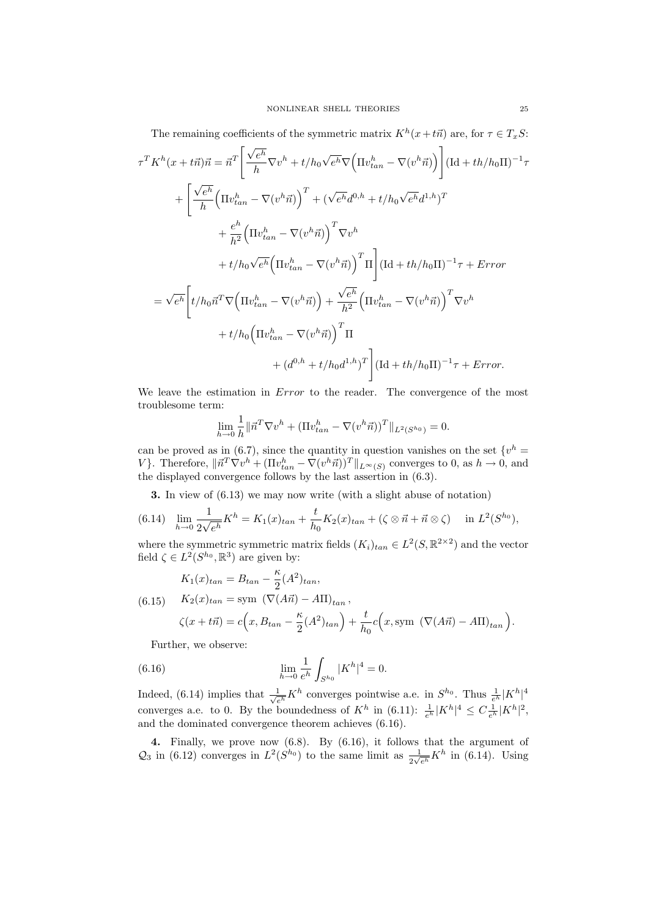The remaining coefficients of the symmetric matrix  $K^h(x+t\vec{n})$  are, for  $\tau \in T_xS$ :

$$
\tau^T K^h (x + t\vec{n}) \vec{n} = \vec{n}^T \left[ \frac{\sqrt{e^h}}{h} \nabla v^h + t/h_0 \sqrt{e^h} \nabla \Big( \Pi v_{tan}^h - \nabla (v^h \vec{n}) \Big) \right] (\text{Id} + th/h_0 \Pi)^{-1} \tau
$$
  
+ 
$$
\left[ \frac{\sqrt{e^h}}{h} \Big( \Pi v_{tan}^h - \nabla (v^h \vec{n}) \Big)^T + (\sqrt{e^h} d^{0,h} + t/h_0 \sqrt{e^h} d^{1,h})^T \right.
$$
  
+ 
$$
\frac{e^h}{h^2} \Big( \Pi v_{tan}^h - \nabla (v^h \vec{n}) \Big)^T \nabla v^h
$$
  
+ 
$$
t/h_0 \sqrt{e^h} \Big( \Pi v_{tan}^h - \nabla (v^h \vec{n}) \Big)^T \Pi \Big] (\text{Id} + th/h_0 \Pi)^{-1} \tau + Error
$$
  
= 
$$
\sqrt{e^h} \Big[ t/h_0 \vec{n}^T \nabla \Big( \Pi v_{tan}^h - \nabla (v^h \vec{n}) \Big) + \frac{\sqrt{e^h}}{h^2} \Big( \Pi v_{tan}^h - \nabla (v^h \vec{n}) \Big)^T \nabla v^h
$$
  
+ 
$$
t/h_0 \Big( \Pi v_{tan}^h - \nabla (v^h \vec{n}) \Big)^T \Pi
$$
  
+ 
$$
(d^{0,h} + t/h_0 d^{1,h})^T \Big] (\text{Id} + th/h_0 \Pi)^{-1} \tau + Error.
$$

We leave the estimation in *Error* to the reader. The convergence of the most troublesome term:

$$
\lim_{h \to 0} \frac{1}{h} \|\vec{n}^T \nabla v^h + (\Pi v_{tan}^h - \nabla (v^h \vec{n}))^T\|_{L^2(S^{h_0})} = 0.
$$

can be proved as in (6.7), since the quantity in question vanishes on the set  $\{v^h =$ V}. Therefore,  $\|\vec{n}^T \nabla v^h + (\Pi v_{tan}^h - \nabla (v^h \vec{n}))^T\|_{L^\infty(S)}$  converges to 0, as  $h \to 0$ , and the displayed convergence follows by the last assertion in (6.3).

3. In view of (6.13) we may now write (with a slight abuse of notation)

$$
(6.14) \quad \lim_{h \to 0} \frac{1}{2\sqrt{e^h}} K^h = K_1(x)_{tan} + \frac{t}{h_0} K_2(x)_{tan} + (\zeta \otimes \vec{n} + \vec{n} \otimes \zeta) \quad \text{in } L^2(S^{h_0}),
$$

where the symmetric symmetric matrix fields  $(K_i)_{tan} \in L^2(S, \mathbb{R}^{2 \times 2})$  and the vector field  $\zeta \in L^2(S^{h_0}, \mathbb{R}^3)$  are given by:

(6.15) 
$$
K_1(x)_{tan} = B_{tan} - \frac{\kappa}{2} (A^2)_{tan},
$$

$$
K_2(x)_{tan} = \text{sym } (\nabla(A\vec{n}) - A\Pi)_{tan},
$$

$$
\zeta(x + t\vec{n}) = c\left(x, B_{tan} - \frac{\kappa}{2} (A^2)_{tan}\right) + \frac{t}{h_0} c\left(x, \text{sym } (\nabla(A\vec{n}) - A\Pi)_{tan}\right).
$$

Further, we observe:

(6.16) 
$$
\lim_{h \to 0} \frac{1}{e^h} \int_{S^{h_0}} |K^h|^4 = 0.
$$

Indeed, (6.14) implies that  $\frac{1}{\sqrt{e^h}} K^h$  converges pointwise a.e. in  $S^{h_0}$ . Thus  $\frac{1}{e^h} |K^h|^4$ converges a.e. to 0. By the boundedness of  $K^h$  in  $(6.11)$ :  $\frac{1}{e^h}|K^h|^4 \leq C\frac{1}{e^h}|K^h|^2$ , and the dominated convergence theorem achieves (6.16).

4. Finally, we prove now (6.8). By (6.16), it follows that the argument of  $\mathcal{Q}_3$  in (6.12) converges in  $L^2(S^{h_0})$  to the same limit as  $\frac{1}{2\sqrt{e^h}}K^h$  in (6.14). Using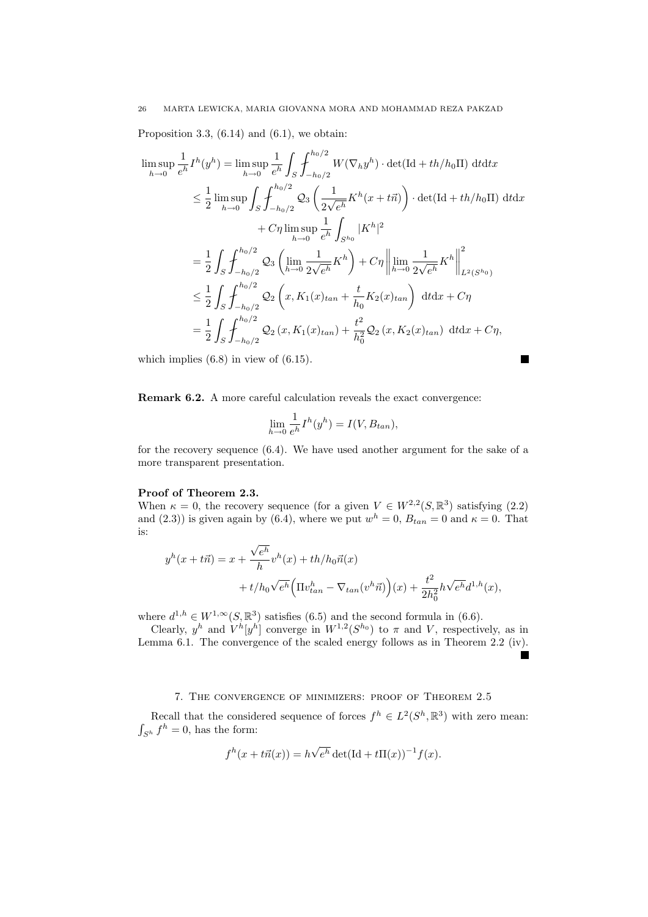Proposition 3.3,  $(6.14)$  and  $(6.1)$ , we obtain:

$$
\limsup_{h \to 0} \frac{1}{e^h} I^h(y^h) = \limsup_{h \to 0} \frac{1}{e^h} \int_S \int_{-h_0/2}^{h_0/2} W(\nabla_h y^h) \cdot \det(\text{Id} + th/h_0 \text{II}) \, \mathrm{d}t \mathrm{d}x
$$
\n
$$
\leq \frac{1}{2} \limsup_{h \to 0} \int_S \int_{-h_0/2}^{h_0/2} \mathcal{Q}_3 \left( \frac{1}{2\sqrt{e^h}} K^h(x + t\vec{n}) \right) \cdot \det(\text{Id} + th/h_0 \text{II}) \, \mathrm{d}t \mathrm{d}x
$$
\n
$$
+ C\eta \limsup_{h \to 0} \frac{1}{e^h} \int_{S^{h_0}} |K^h|^2
$$
\n
$$
= \frac{1}{2} \int_S \int_{-h_0/2}^{h_0/2} \mathcal{Q}_3 \left( \lim_{h \to 0} \frac{1}{2\sqrt{e^h}} K^h \right) + C\eta \left\| \lim_{h \to 0} \frac{1}{2\sqrt{e^h}} K^h \right\|_{L^2(S^{h_0})}^2
$$
\n
$$
\leq \frac{1}{2} \int_S \int_{-h_0/2}^{h_0/2} \mathcal{Q}_2 \left( x, K_1(x)_{tan} + \frac{t}{h_0} K_2(x)_{tan} \right) \, \mathrm{d}t \mathrm{d}x + C\eta
$$
\n
$$
= \frac{1}{2} \int_S \int_{-h_0/2}^{h_0/2} \mathcal{Q}_2 \left( x, K_1(x)_{tan} \right) + \frac{t^2}{h_0^2} \mathcal{Q}_2 \left( x, K_2(x)_{tan} \right) \, \mathrm{d}t \mathrm{d}x + C\eta,
$$

which implies  $(6.8)$  in view of  $(6.15)$ .

Remark 6.2. A more careful calculation reveals the exact convergence:

$$
\lim_{h \to 0} \frac{1}{e^h} I^h(y^h) = I(V, B_{tan}),
$$

 $\blacksquare$ 

for the recovery sequence (6.4). We have used another argument for the sake of a more transparent presentation.

## Proof of Theorem 2.3.

When  $\kappa = 0$ , the recovery sequence (for a given  $V \in W^{2,2}(S, \mathbb{R}^3)$  satisfying (2.2) and (2.3)) is given again by (6.4), where we put  $w<sup>h</sup> = 0$ ,  $B_{tan} = 0$  and  $\kappa = 0$ . That is:

$$
yh(x+t\vec{n}) = x + \frac{\sqrt{e^h}}{h}v^h(x) + th/h_0\vec{n}(x)
$$
  
+ 
$$
t/h_0\sqrt{e^h}\Big(\Pi v_{tan}^h - \nabla_{tan}(v^h\vec{n})\Big)(x) + \frac{t^2}{2h_0^2}h\sqrt{e^h}d^{1,h}(x),
$$

where  $d^{1,h} \in W^{1,\infty}(S,\mathbb{R}^3)$  satisfies (6.5) and the second formula in (6.6).

Clearly,  $y^h$  and  $V^h[y^h]$  converge in  $W^{1,2}(S^{h_0})$  to  $\pi$  and V, respectively, as in Lemma 6.1. The convergence of the scaled energy follows as in Theorem 2.2 (iv).

## 7. The convergence of minimizers: proof of Theorem 2.5

Recall that the considered sequence of forces  $f^h \in L^2(S^h, \mathbb{R}^3)$  with zero mean:  $\int_{S^h} f^h = 0$ , has the form:

$$
f^h(x + t\vec{n}(x)) = h\sqrt{e^h} \det(\text{Id} + t\Pi(x))^{-1} f(x).
$$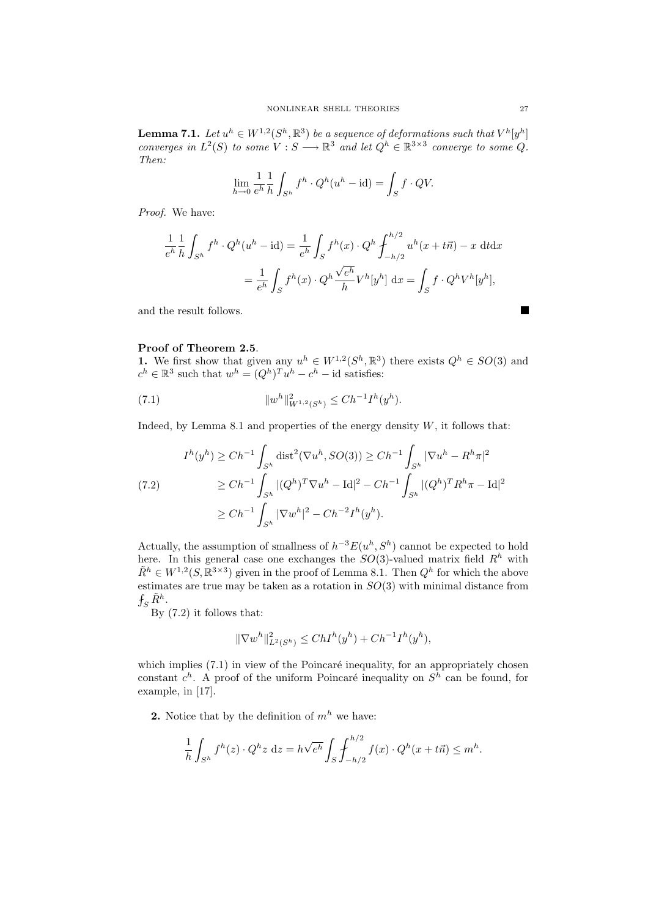**Lemma 7.1.** Let  $u^h \in W^{1,2}(S^h,\mathbb{R}^3)$  be a sequence of deformations such that  $V^h[y^h]$ converges in  $L^2(S)$  to some  $V : S \longrightarrow \mathbb{R}^3$  and let  $Q^h \in \mathbb{R}^{3 \times 3}$  converge to some Q. Then:

$$
\lim_{h \to 0} \frac{1}{e^h} \frac{1}{h} \int_{S^h} f^h \cdot Q^h(u^h - \mathrm{id}) = \int_S f \cdot QV.
$$

Proof. We have:

$$
\frac{1}{e^h} \frac{1}{h} \int_{S^h} f^h \cdot Q^h(u^h - id) = \frac{1}{e^h} \int_S f^h(x) \cdot Q^h \int_{-h/2}^{h/2} u^h(x + t\vec{n}) - x \, dt dx
$$

$$
= \frac{1}{e^h} \int_S f^h(x) \cdot Q^h \frac{\sqrt{e^h}}{h} V^h[y^h] \, dx = \int_S f \cdot Q^h V^h[y^h],
$$

and the result follows.

### Proof of Theorem 2.5.

1. We first show that given any  $u^h \in W^{1,2}(S^h,\mathbb{R}^3)$  there exists  $Q^h \in SO(3)$  and  $c^h \in \mathbb{R}^3$  such that  $w^h = (Q^h)^T u^h - c^h$  – id satisfies:

(7.1) 
$$
||w^h||^2_{W^{1,2}(S^h)} \leq Ch^{-1}I^h(y^h).
$$

Indeed, by Lemma 8.1 and properties of the energy density  $W$ , it follows that:

$$
I^{h}(y^{h}) \ge Ch^{-1} \int_{S^{h}} \text{dist}^{2}(\nabla u^{h}, SO(3)) \ge Ch^{-1} \int_{S^{h}} |\nabla u^{h} - R^{h}\pi|^{2}
$$
  
\n
$$
\ge Ch^{-1} \int_{S^{h}} |(Q^{h})^{T} \nabla u^{h} - \text{Id}|^{2} - Ch^{-1} \int_{S^{h}} |(Q^{h})^{T} R^{h}\pi - \text{Id}|^{2}
$$
  
\n
$$
\ge Ch^{-1} \int_{S^{h}} |\nabla w^{h}|^{2} - Ch^{-2} I^{h}(y^{h}).
$$

Actually, the assumption of smallness of  $h^{-3}E(u^h, S^h)$  cannot be expected to hold here. In this general case one exchanges the  $SO(3)$ -valued matrix field  $R<sup>h</sup>$  with  $\tilde{R}^h \in W^{1,2}(S, \mathbb{R}^{3\times3})$  given in the proof of Lemma 8.1. Then  $Q^h$  for which the above estimates are true may be taken as a rotation in  $SO(3)$  with minimal distance from  $f_S\,\tilde{R}^h.$ 

By (7.2) it follows that:

$$
\|\nabla w^h\|_{L^2(S^h)}^2 \le ChI^h(y^h) + Ch^{-1}I^h(y^h),
$$

which implies  $(7.1)$  in view of the Poincaré inequality, for an appropriately chosen constant  $c^h$ . A proof of the uniform Poincaré inequality on  $S^h$  can be found, for example, in [17].

**2.** Notice that by the definition of  $m<sup>h</sup>$  we have:

$$
\frac{1}{h} \int_{S^h} f^h(z) \cdot Q^h z \, dz = h \sqrt{e^h} \int_S \int_{-h/2}^{h/2} f(x) \cdot Q^h(x + t\vec{n}) \le m^h.
$$

■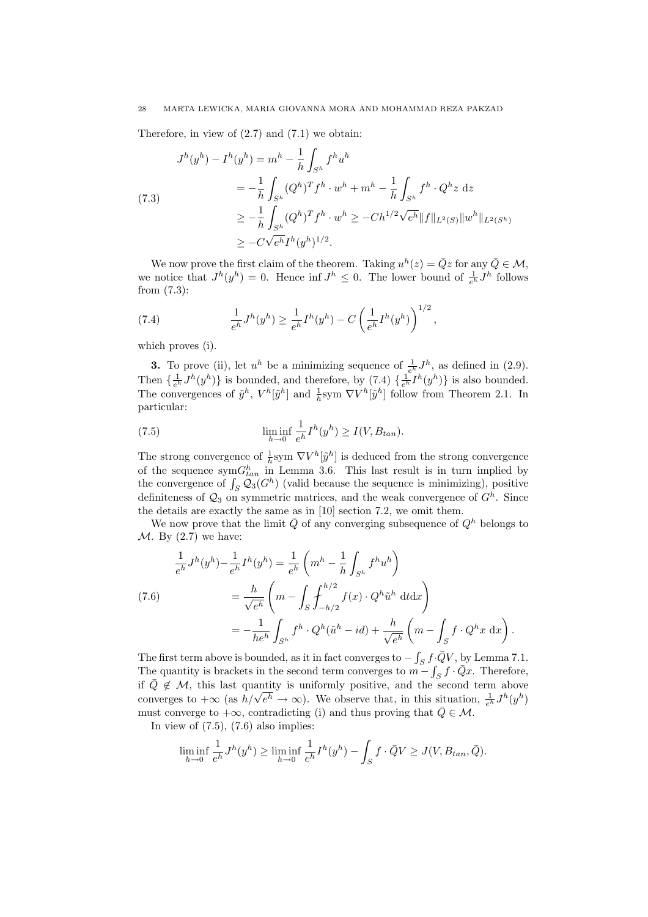Therefore, in view of  $(2.7)$  and  $(7.1)$  we obtain:

$$
J^{h}(y^{h}) - I^{h}(y^{h}) = m^{h} - \frac{1}{h} \int_{S^{h}} f^{h} u^{h}
$$
  
=  $-\frac{1}{h} \int_{S^{h}} (Q^{h})^{T} f^{h} \cdot w^{h} + m^{h} - \frac{1}{h} \int_{S^{h}} f^{h} \cdot Q^{h} z dz$   
 $\geq -\frac{1}{h} \int_{S^{h}} (Q^{h})^{T} f^{h} \cdot w^{h} \geq -Ch^{1/2} \sqrt{e^{h}} ||f||_{L^{2}(S)} ||w^{h}||_{L^{2}(S^{h})}$   
 $\geq -C \sqrt{e^{h}} I^{h}(y^{h})^{1/2}.$ 

We now prove the first claim of the theorem. Taking  $u^h(z) = \overline{Q}z$  for any  $\overline{Q} \in \mathcal{M}$ , we notice that  $J^h(y^h) = 0$ . Hence inf  $J^h \leq 0$ . The lower bound of  $\frac{1}{e^h} J^h$  follows from (7.3):

(7.4) 
$$
\frac{1}{e^h}J^h(y^h) \ge \frac{1}{e^h}I^h(y^h) - C\left(\frac{1}{e^h}I^h(y^h)\right)^{1/2},
$$

which proves (i).

**3.** To prove (ii), let  $u^h$  be a minimizing sequence of  $\frac{1}{e^h} J^h$ , as defined in (2.9). Then  $\{\frac{1}{e^h}J^h(y^h)\}\$ is bounded, and therefore, by  $(7.4)$   $\{\frac{1}{e^h}I^h(y^h)\}\$ is also bounded. The convergences of  $\tilde{y}^h$ ,  $V^h[\tilde{y}^h]$  and  $\frac{1}{h}$ sym  $\nabla V^h[\tilde{y}^h]$  follow from Theorem 2.1. In particular:

(7.5) 
$$
\liminf_{h \to 0} \frac{1}{e^h} I^h(y^h) \ge I(V, B_{tan}).
$$

The strong convergence of  $\frac{1}{h}$ sym  $\nabla V^h[\tilde{y}^h]$  is deduced from the strong convergence of the sequence  $symG_{tan}^h$  in Lemma 3.6. This last result is in turn implied by the convergence of  $\int_S \mathcal{Q}_3(G^h)$  (valid because the sequence is minimizing), positive definiteness of  $\mathcal{Q}_3$  on symmetric matrices, and the weak convergence of  $G^h$ . Since the details are exactly the same as in [10] section 7.2, we omit them.

We now prove that the limit  $\overline{Q}$  of any converging subsequence of  $Q^h$  belongs to  $\mathcal{M}$ . By (2.7) we have:

(7.6)  
\n
$$
\frac{1}{e^h} J^h(y^h) - \frac{1}{e^h} I^h(y^h) = \frac{1}{e^h} \left( m^h - \frac{1}{h} \int_{S^h} f^h u^h \right)
$$
\n
$$
= \frac{h}{\sqrt{e^h}} \left( m - \int_S \int_{-h/2}^{h/2} f(x) \cdot Q^h \tilde{u}^h \, dt dx \right)
$$
\n
$$
= -\frac{1}{he^h} \int_{S^h} f^h \cdot Q^h(\tilde{u}^h - id) + \frac{h}{\sqrt{e^h}} \left( m - \int_S f \cdot Q^h x \, dx \right).
$$

The first term above is bounded, as it in fact converges to  $-\int_S f \cdot \bar{Q} V$ , by Lemma 7.1. The quantity is brackets in the second term converges to  $m - \int_S f \cdot \bar{Q}x$ . Therefore, if  $\overline{Q} \notin \mathcal{M}$ , this last quantity is uniformly positive, and the second term above if  $Q \notin M$ , this last quantity is uniformly positive, and the second term above<br>converges to  $+\infty$  (as  $h/\sqrt{e^h} \to \infty$ ). We observe that, in this situation,  $\frac{1}{e^h}J^h(y^h)$ must converge to  $+\infty$ , contradicting (i) and thus proving that  $\overline{Q} \in \mathcal{M}$ .

In view of  $(7.5)$ ,  $(7.6)$  also implies:

$$
\liminf_{h \to 0} \frac{1}{e^h} J^h(y^h) \ge \liminf_{h \to 0} \frac{1}{e^h} I^h(y^h) - \int_S f \cdot \bar{Q} V \ge J(V, B_{tan}, \bar{Q}).
$$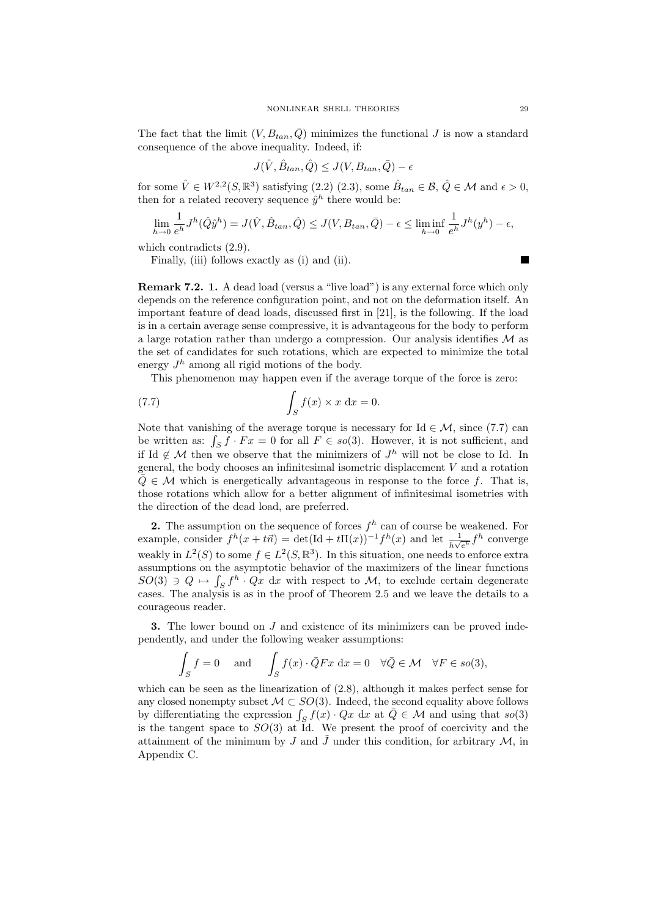The fact that the limit  $(V, B_{tan}, \overline{Q})$  minimizes the functional J is now a standard consequence of the above inequality. Indeed, if:

$$
J(\hat{V}, \hat{B}_{tan}, \hat{Q}) \le J(V, B_{tan}, \bar{Q}) - \epsilon
$$

for some  $\hat{V} \in W^{2,2}(S,\mathbb{R}^3)$  satisfying  $(2.2)$   $(2.3)$ , some  $\hat{B}_{tan} \in \mathcal{B}, \hat{Q} \in \mathcal{M}$  and  $\epsilon > 0$ , then for a related recovery sequence  $\hat{y}^h$  there would be:

$$
\lim_{h \to 0} \frac{1}{e^h} J^h(\hat{Q}\hat{y}^h) = J(\hat{V}, \hat{B}_{tan}, \hat{Q}) \le J(V, B_{tan}, \bar{Q}) - \epsilon \le \liminf_{h \to 0} \frac{1}{e^h} J^h(y^h) - \epsilon,
$$

which contradicts (2.9).

Finally, (iii) follows exactly as (i) and (ii).

Remark 7.2. 1. A dead load (versus a "live load") is any external force which only depends on the reference configuration point, and not on the deformation itself. An important feature of dead loads, discussed first in [21], is the following. If the load is in a certain average sense compressive, it is advantageous for the body to perform a large rotation rather than undergo a compression. Our analysis identifies  $\mathcal M$  as the set of candidates for such rotations, which are expected to minimize the total energy  $J<sup>h</sup>$  among all rigid motions of the body.

This phenomenon may happen even if the average torque of the force is zero:

(7.7) 
$$
\int_{S} f(x) \times x \, dx = 0.
$$

Note that vanishing of the average torque is necessary for Id  $\in \mathcal{M}$ , since (7.7) can be written as:  $\int_S f \cdot Fx = 0$  for all  $F \in so(3)$ . However, it is not sufficient, and if Id  $\notin \mathcal{M}$  then we observe that the minimizers of  $J^h$  will not be close to Id. In general, the body chooses an infinitesimal isometric displacement V and a rotation  $\overline{Q} \in \mathcal{M}$  which is energetically advantageous in response to the force f. That is, those rotations which allow for a better alignment of infinitesimal isometries with the direction of the dead load, are preferred.

2. The assumption on the sequence of forces  $f<sup>h</sup>$  can of course be weakened. For example, consider  $f^h(x + t\vec{n}) = \det(\text{Id} + t\mathbf{\Pi}(x))^{-1} f^h(x)$  and let  $\frac{1}{h\sqrt{e^h}} f^h$  converge weakly in  $L^2(S)$  to some  $f \in L^2(S, \mathbb{R}^3)$ . In this situation, one needs to enforce extra assumptions on the asymptotic behavior of the maximizers of the linear functions  $SO(3) \ni Q \mapsto \int_S f^h \cdot Qx \, dx$  with respect to M, to exclude certain degenerate cases. The analysis is as in the proof of Theorem 2.5 and we leave the details to a courageous reader.

**3.** The lower bound on  $J$  and existence of its minimizers can be proved independently, and under the following weaker assumptions:

$$
\int_{S} f = 0 \quad \text{and} \quad \int_{S} f(x) \cdot \bar{Q} F x \, dx = 0 \quad \forall \bar{Q} \in \mathcal{M} \quad \forall F \in so(3),
$$

which can be seen as the linearization of (2.8), although it makes perfect sense for any closed nonempty subset  $\mathcal{M} \subset SO(3)$ . Indeed, the second equality above follows by differentiating the expression  $\int_S f(x) \cdot Qx \, dx$  at  $\overline{Q} \in \mathcal{M}$  and using that so(3) is the tangent space to  $SO(3)$  at  $\tilde{I}d$ . We present the proof of coercivity and the attainment of the minimum by J and  $\tilde{J}$  under this condition, for arbitrary M, in Appendix C.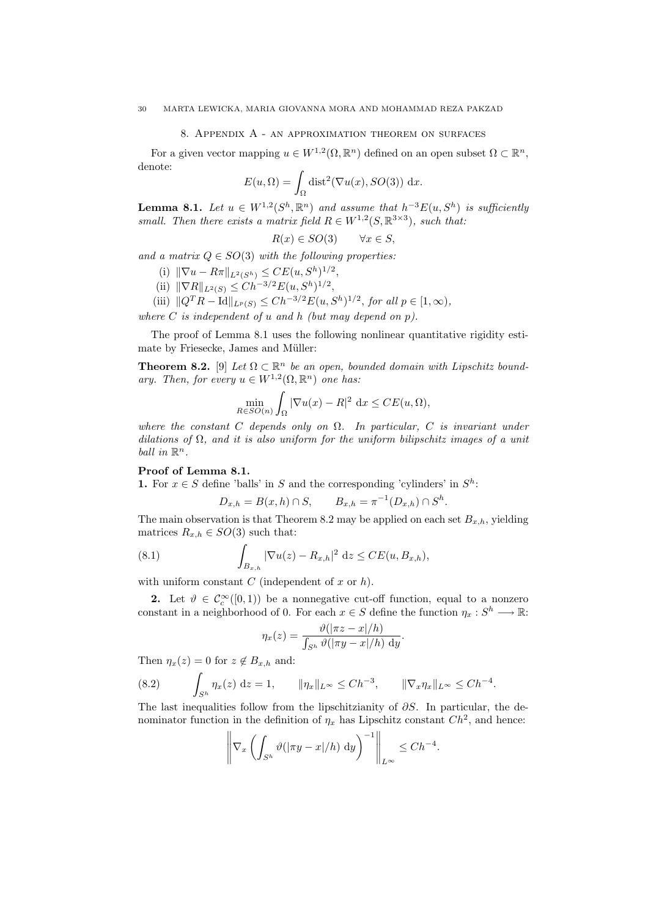#### 8. Appendix A - an approximation theorem on surfaces

For a given vector mapping  $u \in W^{1,2}(\Omega, \mathbb{R}^n)$  defined on an open subset  $\Omega \subset \mathbb{R}^n$ , denote:

$$
E(u, \Omega) = \int_{\Omega} \text{dist}^2(\nabla u(x), SO(3)) \, dx.
$$

**Lemma 8.1.** Let  $u \in W^{1,2}(S^h, \mathbb{R}^n)$  and assume that  $h^{-3}E(u, S^h)$  is sufficiently small. Then there exists a matrix field  $R \in W^{1,2}(S, \mathbb{R}^{3\times3})$ , such that:

$$
R(x) \in SO(3) \qquad \forall x \in S,
$$

and a matrix  $Q \in SO(3)$  with the following properties:

- (i)  $\|\nabla u R\pi\|_{L^2(S^h)} \leq CE(u, S^h)^{1/2},$
- (ii)  $\|\nabla R\|_{L^2(S)} \leq Ch^{-3/2}E(u, S^h)^{1/2},$
- (iii)  $||Q^T R \text{Id}||_{L^p(S)} \leq Ch^{-3/2} E(u, S^h)^{1/2}$ , for all  $p \in [1, \infty)$ ,

where  $C$  is independent of  $u$  and  $h$  (but may depend on  $p$ ).

The proof of Lemma 8.1 uses the following nonlinear quantitative rigidity estimate by Friesecke, James and Müller:

**Theorem 8.2.** [9] Let  $\Omega \subset \mathbb{R}^n$  be an open, bounded domain with Lipschitz boundary. Then, for every  $u \in W^{1,2}(\Omega, \mathbb{R}^n)$  one has:

$$
\min_{R \in SO(n)} \int_{\Omega} |\nabla u(x) - R|^2 dx \le CE(u, \Omega),
$$

where the constant C depends only on  $\Omega$ . In particular, C is invariant under dilations of  $\Omega$ , and it is also uniform for the uniform bilipschitz images of a unit ball in  $\mathbb{R}^n$ .

## Proof of Lemma 8.1.

1. For  $x \in S$  define 'balls' in S and the corresponding 'cylinders' in  $S^h$ :

$$
D_{x,h} = B(x,h) \cap S
$$
,  $B_{x,h} = \pi^{-1}(D_{x,h}) \cap S^h$ .

The main observation is that Theorem 8.2 may be applied on each set  $B_{x,h}$ , yielding matrices  $R_{x,h} \in SO(3)$  such that:

(8.1) 
$$
\int_{B_{x,h}} |\nabla u(z) - R_{x,h}|^2 dz \leq CE(u, B_{x,h}),
$$

with uniform constant  $C$  (independent of  $x$  or  $h$ ).

2. Let  $\vartheta \in C_c^{\infty}([0,1))$  be a nonnegative cut-off function, equal to a nonzero constant in a neighborhood of 0. For each  $x \in S$  define the function  $\eta_x : S^h \longrightarrow \mathbb{R}$ :

$$
\eta_x(z) = \frac{\vartheta(|\pi z - x|/h)}{\int_{S^h} \vartheta(|\pi y - x|/h) \, dy}.
$$

Then  $\eta_x(z) = 0$  for  $z \notin B_{x,h}$  and:

$$
(8.2) \qquad \int_{S^h} \eta_x(z) \, \mathrm{d}z = 1, \qquad \|\eta_x\|_{L^\infty} \le Ch^{-3}, \qquad \|\nabla_x \eta_x\|_{L^\infty} \le Ch^{-4}.
$$

The last inequalities follow from the lipschitzianity of  $\partial S$ . In particular, the denominator function in the definition of  $\eta_x$  has Lipschitz constant  $Ch^2$ , and hence:

$$
\left\|\nabla_x \left( \int_{S^h} \vartheta(|\pi y - x|/h) \, dy \right)^{-1} \right\|_{L^\infty} \le Ch^{-4}.
$$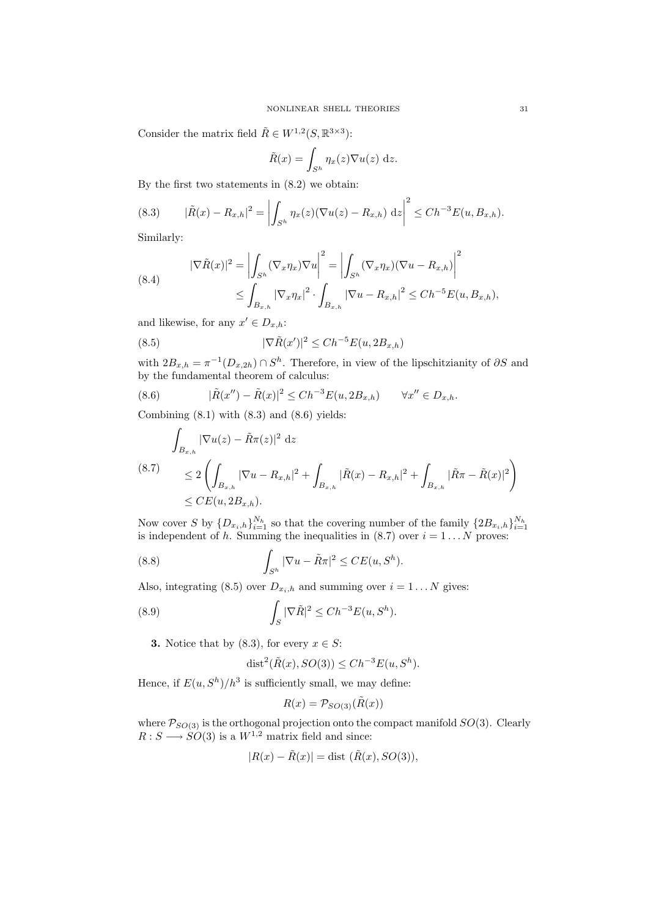Consider the matrix field  $\tilde{R} \in W^{1,2}(S, \mathbb{R}^{3 \times 3})$ :

$$
\tilde{R}(x) = \int_{S^h} \eta_x(z) \nabla u(z) \, \mathrm{d}z.
$$

By the first two statements in (8.2) we obtain:

(8.3) 
$$
|\tilde{R}(x) - R_{x,h}|^2 = \left| \int_{S^h} \eta_x(z) (\nabla u(z) - R_{x,h}) \, dz \right|^2 \leq Ch^{-3} E(u, B_{x,h}).
$$

Similarly:

(8.4) 
$$
|\nabla \tilde{R}(x)|^2 = \left| \int_{S^h} (\nabla_x \eta_x) \nabla u \right|^2 = \left| \int_{S^h} (\nabla_x \eta_x) (\nabla u - R_{x,h}) \right|^2
$$

$$
\leq \int_{B_{x,h}} |\nabla_x \eta_x|^2 \cdot \int_{B_{x,h}} |\nabla u - R_{x,h}|^2 \leq Ch^{-5} E(u, B_{x,h}),
$$

and likewise, for any  $x' \in D_{x,h}$ :

(8.5) 
$$
|\nabla \tilde{R}(x')|^2 \leq Ch^{-5}E(u, 2B_{x,h})
$$

with  $2B_{x,h} = \pi^{-1}(D_{x,2h}) \cap S^h$ . Therefore, in view of the lipschitzianity of  $\partial S$  and by the fundamental theorem of calculus:

(8.6) 
$$
|\tilde{R}(x'') - \tilde{R}(x)|^2 \leq Ch^{-3}E(u, 2B_{x,h}) \qquad \forall x'' \in D_{x,h}.
$$

Combining  $(8.1)$  with  $(8.3)$  and  $(8.6)$  yields:

$$
\int_{B_{x,h}} |\nabla u(z) - \tilde{R}\pi(z)|^2 dz
$$
\n
$$
(8.7) \leq 2 \left( \int_{B_{x,h}} |\nabla u - R_{x,h}|^2 + \int_{B_{x,h}} |\tilde{R}(x) - R_{x,h}|^2 + \int_{B_{x,h}} |\tilde{R}\pi - \tilde{R}(x)|^2 \right)
$$
\n
$$
\leq CE(u, 2B_{x,h}).
$$

Now cover S by  $\{D_{x_i,h}\}_{i=1}^{N_h}$  so that the covering number of the family  $\{2B_{x_i,h}\}_{i=1}^{N_h}$  is independent of h. Summing the inequalities in  $(8.7)$  over  $i=1...N$  proves:

(8.8) 
$$
\int_{S^h} |\nabla u - \tilde{R}\pi|^2 \le CE(u, S^h).
$$

Also, integrating (8.5) over  $D_{x_i,h}$  and summing over  $i = 1...N$  gives:

(8.9) 
$$
\int_{S} |\nabla \tilde{R}|^{2} \leq Ch^{-3} E(u, S^{h}).
$$

**3.** Notice that by (8.3), for every  $x \in S$ :

$$
\text{dist}^2(\tilde{R}(x), SO(3)) \le Ch^{-3}E(u, S^h).
$$

Hence, if  $E(u, S^h)/h^3$  is sufficiently small, we may define:

$$
R(x) = \mathcal{P}_{SO(3)}(\tilde{R}(x))
$$

where  $P_{SO(3)}$  is the orthogonal projection onto the compact manifold  $SO(3)$ . Clearly  $R: S \longrightarrow SO(3)$  is a  $W^{1,2}$  matrix field and since:

$$
|R(x) - \tilde{R}(x)| = \text{dist }(\tilde{R}(x), SO(3)),
$$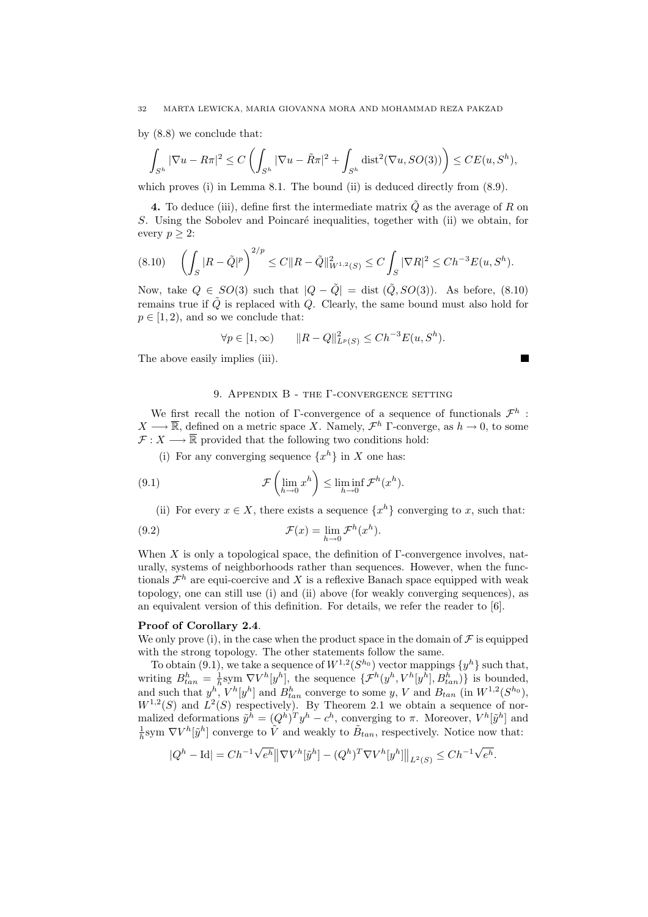by (8.8) we conclude that:

$$
\int_{S^h} |\nabla u - R\pi|^2 \le C\left(\int_{S^h} |\nabla u - \tilde{R}\pi|^2 + \int_{S^h} \text{dist}^2(\nabla u, SO(3))\right) \le CE(u, S^h),
$$

which proves (i) in Lemma 8.1. The bound (ii) is deduced directly from  $(8.9)$ .

4. To deduce (iii), define first the intermediate matrix  $\tilde{Q}$  as the average of R on S. Using the Sobolev and Poincaré inequalities, together with (ii) we obtain, for every  $p \geq 2$ :

$$
(8.10) \quad \left(\int_{S} |R - \tilde{Q}|^{p}\right)^{2/p} \le C \|R - \tilde{Q}\|_{W^{1,2}(S)}^{2} \le C \int_{S} |\nabla R|^{2} \le Ch^{-3} E(u, S^{h}).
$$

Now, take  $Q \in SO(3)$  such that  $|Q - \hat{Q}| = \text{dist}(\hat{Q}, SO(3))$ . As before, (8.10) remains true if  $\tilde{Q}$  is replaced with Q. Clearly, the same bound must also hold for  $p \in [1, 2)$ , and so we conclude that:

$$
\forall p \in [1, \infty)
$$
  $||R - Q||_{L^p(S)}^2 \leq Ch^{-3}E(u, S^h).$ 

 $\blacksquare$ 

The above easily implies (iii).

## 9. Appendix B - the Γ-convergence setting

We first recall the notion of Γ-convergence of a sequence of functionals  $\mathcal{F}^h$ :  $X \longrightarrow \overline{\mathbb{R}}$ , defined on a metric space X. Namely,  $\mathcal{F}^h$  Γ-converge, as  $h \to 0$ , to some  $\mathcal{F}: X \longrightarrow \overline{\mathbb{R}}$  provided that the following two conditions hold:

(i) For any converging sequence  $\{x^h\}$  in X one has:

(9.1) 
$$
\mathcal{F}\left(\lim_{h\to 0}x^h\right)\leq \liminf_{h\to 0}\mathcal{F}^h(x^h).
$$

(ii) For every  $x \in X$ , there exists a sequence  $\{x^h\}$  converging to x, such that:

(9.2) 
$$
\mathcal{F}(x) = \lim_{h \to 0} \mathcal{F}^h(x^h).
$$

When  $X$  is only a topological space, the definition of  $\Gamma$ -convergence involves, naturally, systems of neighborhoods rather than sequences. However, when the functionals  $\mathcal{F}^h$  are equi-coercive and X is a reflexive Banach space equipped with weak topology, one can still use (i) and (ii) above (for weakly converging sequences), as an equivalent version of this definition. For details, we refer the reader to [6].

### Proof of Corollary 2.4.

We only prove (i), in the case when the product space in the domain of  $\mathcal F$  is equipped with the strong topology. The other statements follow the same.

To obtain (9.1), we take a sequence of  $W^{1,2}(S^{h_0})$  vector mappings  $\{y^h\}$  such that, writing  $B_{tan}^h = \frac{1}{h}$ sym  $\nabla V^h[y^h]$ , the sequence  $\{\mathcal{F}^h(y^h, V^h[y^h], B_{tan}^h)\}\$ is bounded, and such that  $y^h$ ,  $V^h[y^h]$  and  $B_{tan}^h$  converge to some y, V and  $B_{tan}$  (in  $W^{1,2}(S^{h_0})$ ,  $W^{1,2}(S)$  and  $L^2(S)$  respectively). By Theorem 2.1 we obtain a sequence of normalized deformations  $\tilde{y}^h = (Q^h)^T y^h - c^h$ , converging to  $\pi$ . Moreover,  $V^h[\tilde{y}^h]$  and  $\frac{1}{h}$ sym  $\nabla V^h[\tilde{y}^h]$  converge to  $\tilde{V}$  and weakly to  $\tilde{B}_{tan}$ , respectively. Notice now that:

$$
|Q^{h} - \mathrm{Id}| = Ch^{-1} \sqrt{e^{h}} \left\| \nabla V^{h}[\tilde{y}^{h}] - (Q^{h})^{T} \nabla V^{h}[y^{h}] \right\|_{L^{2}(S)} \leq Ch^{-1} \sqrt{e^{h}}.
$$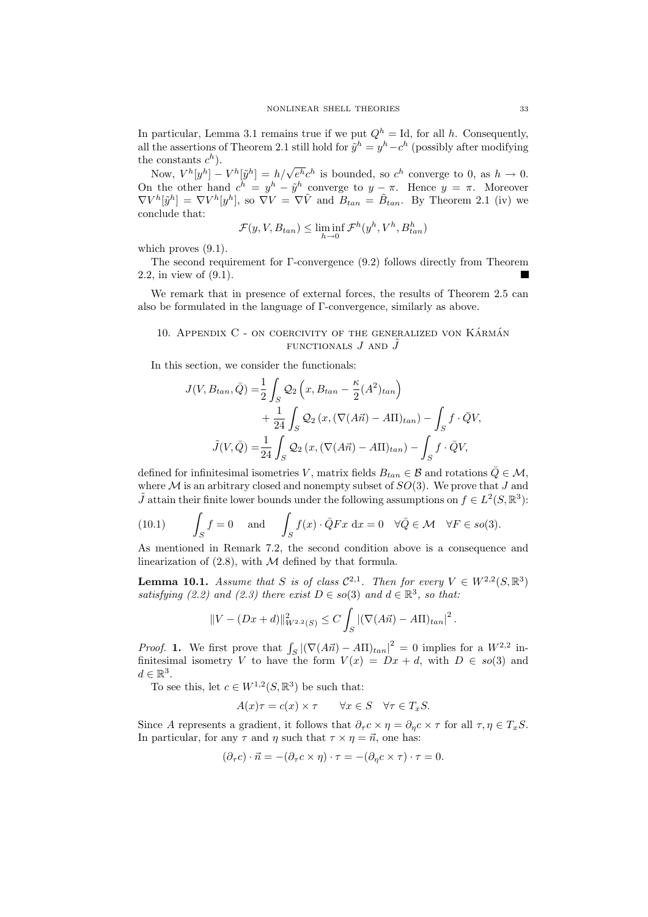In particular, Lemma 3.1 remains true if we put  $Q<sup>h</sup> = Id$ , for all h. Consequently, all the assertions of Theorem 2.1 still hold for  $\tilde{y}^h = y^h - c^h$  (possibly after modifying the constants  $c^h$ ).

beconstants  $c^r$ ).<br>Now,  $V^h[y^h] - V^h[\tilde{y}^h] = h/\sqrt{e^h}c^h$  is bounded, so  $c^h$  converge to 0, as  $h \to 0$ . On the other hand  $c^h = y^h - \tilde{y}^h$  converge to  $y - \pi$ . Hence  $y = \pi$ . Moreover  $\nabla V^h[\tilde{y}^h] = \nabla V^h[y^h],$  so  $\nabla V = \nabla \tilde{V}$  and  $B_{tan} = \tilde{B}_{tan}$ . By Theorem 2.1 (iv) we conclude that:

$$
\mathcal{F}(y, V, B_{tan}) \le \liminf_{h \to 0} \mathcal{F}^h(y^h, V^h, B_{tan}^h)
$$

which proves  $(9.1)$ .

The second requirement for Γ-convergence (9.2) follows directly from Theorem 2.2, in view of (9.1).

We remark that in presence of external forces, the results of Theorem 2.5 can also be formulated in the language of Γ-convergence, similarly as above.

## 10. APPENDIX  $C$  - on coercivity of the generalized von KÁRMÁN FUNCTIONALS  $J$  and  $J$

In this section, we consider the functionals:

$$
J(V, B_{tan}, \bar{Q}) = \frac{1}{2} \int_{S} Q_2 \left( x, B_{tan} - \frac{\kappa}{2} (A^2)_{tan} \right)
$$
  
+ 
$$
\frac{1}{24} \int_{S} Q_2 \left( x, (\nabla (A\vec{n}) - A\Pi)_{tan} \right) - \int_{S} f \cdot \bar{Q} V,
$$

$$
\tilde{J}(V, \bar{Q}) = \frac{1}{24} \int_{S} Q_2 \left( x, (\nabla (A\vec{n}) - A\Pi)_{tan} \right) - \int_{S} f \cdot \bar{Q} V,
$$

defined for infinitesimal isometries V, matrix fields  $B_{tan} \in \mathcal{B}$  and rotations  $\overline{Q} \in \mathcal{M}$ , where M is an arbitrary closed and nonempty subset of  $SO(3)$ . We prove that J and  $\tilde{J}$  attain their finite lower bounds under the following assumptions on  $f \in L^2(S, \mathbb{R}^3)$ :

(10.1) 
$$
\int_{S} f = 0 \quad \text{and} \quad \int_{S} f(x) \cdot \bar{Q} F x \, dx = 0 \quad \forall \bar{Q} \in \mathcal{M} \quad \forall F \in so(3).
$$

As mentioned in Remark 7.2, the second condition above is a consequence and linearization of  $(2.8)$ , with M defined by that formula.

**Lemma 10.1.** Assume that S is of class  $\mathcal{C}^{2,1}$ . Then for every  $V \in W^{2,2}(S,\mathbb{R}^3)$ satisfying (2.2) and (2.3) there exist  $D \in so(3)$  and  $d \in \mathbb{R}^3$ , so that:

$$
||V - (Dx + d)||_{W^{2,2}(S)}^{2} \leq C \int_{S} |(\nabla (A\vec{n}) - A\Pi)_{tan}|^{2}.
$$

*Proof.* 1. We first prove that  $\int_S |(\nabla(A\vec{n}) - A\Pi)_{tan}|^2 = 0$  implies for a  $W^{2,2}$  infinitesimal isometry V to have the form  $V(x) = Dx + d$ , with  $D \in so(3)$  and  $d \in \mathbb{R}^3$ .

To see this, let  $c \in W^{1,2}(S, \mathbb{R}^3)$  be such that:

$$
A(x)\tau = c(x) \times \tau \qquad \forall x \in S \quad \forall \tau \in T_xS.
$$

Since A represents a gradient, it follows that  $\partial_{\tau} c \times \eta = \partial_{\eta} c \times \tau$  for all  $\tau, \eta \in T_xS$ . In particular, for any  $\tau$  and  $\eta$  such that  $\tau \times \eta = \vec{n}$ , one has:

$$
(\partial_{\tau}c)\cdot\vec{n} = -(\partial_{\tau}c\times\eta)\cdot\tau = -(\partial_{\eta}c\times\tau)\cdot\tau = 0.
$$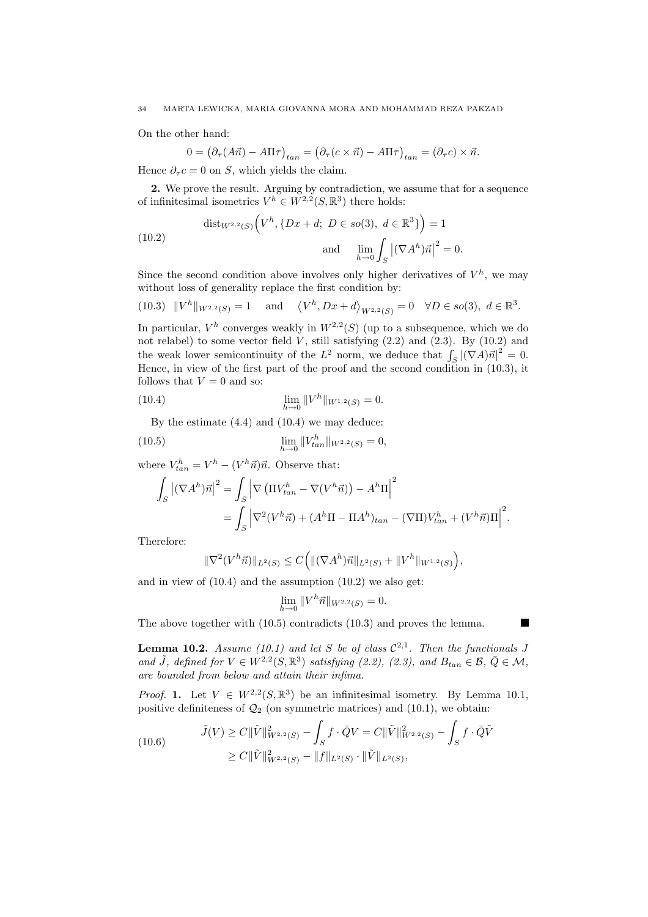On the other hand:

$$
0 = \left(\partial_{\tau}(A\vec{n}) - A\Pi\tau\right)_{tan} = \left(\partial_{\tau}(c \times \vec{n}) - A\Pi\tau\right)_{tan} = \left(\partial_{\tau}c\right) \times \vec{n}.
$$

Hence  $\partial_{\tau} c = 0$  on S, which yields the claim.

2. We prove the result. Arguing by contradiction, we assume that for a sequence of infinitesimal isometries  $V^h \in W^{2,2}(S,\mathbb{R}^3)$  there holds:

(10.2) 
$$
\text{dist}_{W^{2,2}(S)}(V^h, \{Dx + d; D \in so(3), d \in \mathbb{R}^3\}) = 1
$$
\n
$$
\text{and} \quad \lim_{h \to 0} \int_S |(\nabla A^h)\vec{n}|^2 = 0.
$$

Since the second condition above involves only higher derivatives of  $V^h$ , we may without loss of generality replace the first condition by:

(10.3) 
$$
||V^h||_{W^{2,2}(S)} = 1
$$
 and  $\langle V^h, Dx + d \rangle_{W^{2,2}(S)} = 0 \quad \forall D \in so(3), d \in \mathbb{R}^3$ .

In particular,  $V^h$  converges weakly in  $W^{2,2}(S)$  (up to a subsequence, which we do not relabel) to some vector field  $\dot{V}$ , still satisfying (2.2) and (2.3). By (10.2) and the weak lower semicontinuity of the  $L^2$  norm, we deduce that  $\int_S |(\nabla A)\vec{n}|^2 = 0$ . Hence, in view of the first part of the proof and the second condition in (10.3), it follows that  $V = 0$  and so:

(10.4) 
$$
\lim_{h \to 0} ||V^h||_{W^{1,2}(S)} = 0.
$$

By the estimate (4.4) and (10.4) we may deduce:

(10.5) 
$$
\lim_{h \to 0} ||V_{tan}^h||_{W^{2,2}(S)} = 0,
$$

where  $V_{tan}^h = V^h - (V^h \vec{n})\vec{n}$ . Observe that:

$$
\int_{S} \left| (\nabla A^{h}) \vec{n} \right|^{2} = \int_{S} \left| \nabla \left( \Pi V_{tan}^{h} - \nabla (V^{h} \vec{n}) \right) - A^{h} \Pi \right|^{2}
$$
  
= 
$$
\int_{S} \left| \nabla^{2} (V^{h} \vec{n}) + (A^{h} \Pi - \Pi A^{h})_{tan} - (\nabla \Pi) V_{tan}^{h} + (V^{h} \vec{n}) \Pi \right|^{2}.
$$

Therefore:

$$
\|\nabla^2 (V^h \vec{n})\|_{L^2(S)} \le C\Big(\|(\nabla A^h)\vec{n}\|_{L^2(S)} + \|V^h\|_{W^{1,2}(S)}\Big),
$$

and in view of (10.4) and the assumption (10.2) we also get:

$$
\lim_{h \to 0} ||V^h \vec{n}||_{W^{2,2}(S)} = 0.
$$

The above together with (10.5) contradicts (10.3) and proves the lemma.

**Lemma 10.2.** Assume (10.1) and let S be of class  $C^{2,1}$ . Then the functionals J and  $\tilde{J}$ , defined for  $V \in W^{2,2}(S,\mathbb{R}^3)$  satisfying (2.2), (2.3), and  $B_{tan} \in \mathcal{B}, \bar{Q} \in \mathcal{M}$ , are bounded from below and attain their infima.

*Proof.* 1. Let  $V \in W^{2,2}(S,\mathbb{R}^3)$  be an infinitesimal isometry. By Lemma 10.1, positive definiteness of  $\mathcal{Q}_2$  (on symmetric matrices) and (10.1), we obtain:

(10.6) 
$$
\tilde{J}(V) \ge C \|\tilde{V}\|_{W^{2,2}(S)}^2 - \int_S f \cdot \bar{Q}V = C \|\tilde{V}\|_{W^{2,2}(S)}^2 - \int_S f \cdot \bar{Q}\tilde{V} \ge C \|\tilde{V}\|_{W^{2,2}(S)}^2 - \|f\|_{L^2(S)} \cdot \|\tilde{V}\|_{L^2(S)},
$$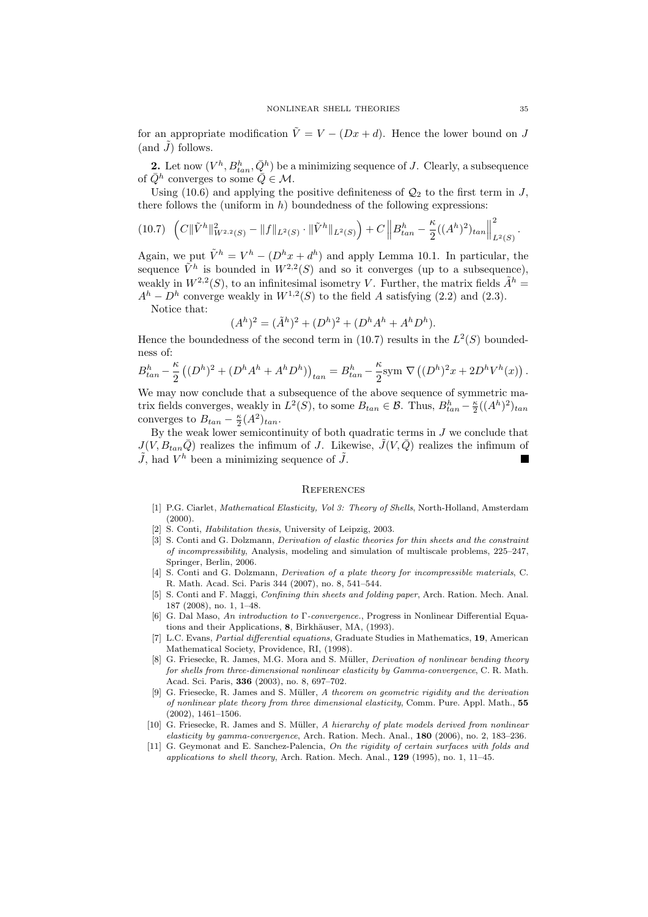for an appropriate modification  $\tilde{V} = V - (Dx + d)$ . Hence the lower bound on J (and  $\tilde{J}$ ) follows.

**2.** Let now  $(V^h, B_{tan}^h, \bar{Q}^h)$  be a minimizing sequence of J. Clearly, a subsequence of  $\overline{Q}^h$  converges to some  $\overline{Q} \in \mathcal{M}$ .

Using (10.6) and applying the positive definiteness of  $\mathcal{Q}_2$  to the first term in J, there follows the (uniform in  $h$ ) boundedness of the following expressions:

$$
(10.7)\ \left(C\|\tilde{V}^h\|_{W^{2,2}(S)}^2-\|f\|_{L^2(S)}\cdot\|\tilde{V}^h\|_{L^2(S)}\right)+C\left\|B_{tan}^h-\frac{\kappa}{2}((A^h)^2)_{tan}\right\|_{L^2(S)}^2.
$$

Again, we put  $\tilde{V}^h = V^h - (D^h x + d^h)$  and apply Lemma 10.1. In particular, the sequence  $\tilde{V}^h$  is bounded in  $W^{2,2}(S)$  and so it converges (up to a subsequence), weakly in  $W^{2,2}(S)$ , to an infinitesimal isometry V. Further, the matrix fields  $\tilde{A}^h =$  $A<sup>h</sup> - D<sup>h</sup>$  converge weakly in  $W<sup>1,2</sup>(S)$  to the field A satisfying (2.2) and (2.3).

Notice that:

$$
(Ah)2 = (\tilde{A}h)2 + (Dh)2 + (DhAh + AhDh).
$$

Hence the boundedness of the second term in (10.7) results in the  $L^2(S)$  boundedness of:

$$
B_{tan}^h - \frac{\kappa}{2} \left( (D^h)^2 + (D^h A^h + A^h D^h) \right)_{tan} = B_{tan}^h - \frac{\kappa}{2} {\rm sym} \ \nabla \left( (D^h)^2 x + 2D^h V^h(x) \right).
$$

We may now conclude that a subsequence of the above sequence of symmetric matrix fields converges, weakly in  $L^2(S)$ , to some  $B_{tan} \in \mathcal{B}$ . Thus,  $B_{tan}^h - \frac{\kappa}{2}((A^h)^2)_{tan}$ converges to  $B_{tan} - \frac{\kappa}{2}(A^2)_{tan}$ .

By the weak lower semicontinuity of both quadratic terms in  $J$  we conclude that  $J(V, B_{tan}\overline{Q})$  realizes the infimum of J. Likewise,  $\tilde{J}(V, \overline{Q})$  realizes the infimum of  $\tilde{J}$ , had  $V^h$  been a minimizing sequence of  $\tilde{J}$ .

#### **REFERENCES**

- [1] P.G. Ciarlet, Mathematical Elasticity, Vol 3: Theory of Shells, North-Holland, Amsterdam (2000).
- [2] S. Conti, *Habilitation thesis*, University of Leipzig, 2003.
- [3] S. Conti and G. Dolzmann, *Derivation of elastic theories for thin sheets and the constraint* of incompressibility, Analysis, modeling and simulation of multiscale problems, 225–247, Springer, Berlin, 2006.
- [4] S. Conti and G. Dolzmann, Derivation of a plate theory for incompressible materials, C. R. Math. Acad. Sci. Paris 344 (2007), no. 8, 541–544.
- [5] S. Conti and F. Maggi, Confining thin sheets and folding paper, Arch. Ration. Mech. Anal. 187 (2008), no. 1, 1–48.
- [6] G. Dal Maso, An introduction to Γ-convergence., Progress in Nonlinear Differential Equations and their Applications, 8, Birkhäuser, MA, (1993).
- [7] L.C. Evans, Partial differential equations, Graduate Studies in Mathematics, 19, American Mathematical Society, Providence, RI, (1998).
- G. Friesecke, R. James, M.G. Mora and S. Müller, *Derivation of nonlinear bending theory* for shells from three-dimensional nonlinear elasticity by Gamma-convergence, C. R. Math. Acad. Sci. Paris, 336 (2003), no. 8, 697–702.
- [9] G. Friesecke, R. James and S. Müller, A theorem on geometric rigidity and the derivation of nonlinear plate theory from three dimensional elasticity, Comm. Pure. Appl. Math., 55 (2002), 1461–1506.
- [10] G. Friesecke, R. James and S. Müller, A hierarchy of plate models derived from nonlinear elasticity by gamma-convergence, Arch. Ration. Mech. Anal., 180 (2006), no. 2, 183–236.
- [11] G. Geymonat and E. Sanchez-Palencia, On the rigidity of certain surfaces with folds and applications to shell theory, Arch. Ration. Mech. Anal., 129 (1995), no. 1, 11–45.